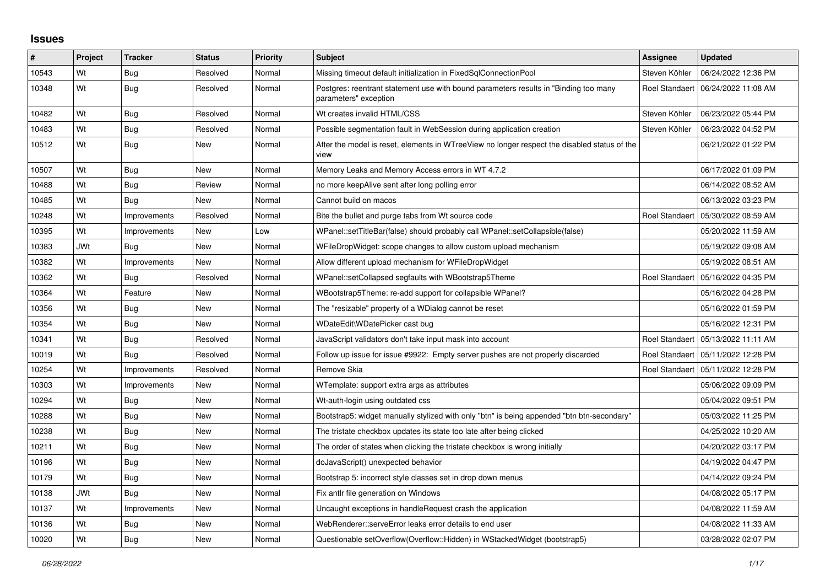## **Issues**

| #     | Project    | <b>Tracker</b> | <b>Status</b> | <b>Priority</b> | <b>Subject</b>                                                                                                | <b>Assignee</b>       | <b>Updated</b>                       |
|-------|------------|----------------|---------------|-----------------|---------------------------------------------------------------------------------------------------------------|-----------------------|--------------------------------------|
| 10543 | Wt         | Bug            | Resolved      | Normal          | Missing timeout default initialization in FixedSqlConnectionPool                                              | Steven Köhler         | 06/24/2022 12:36 PM                  |
| 10348 | Wt         | <b>Bug</b>     | Resolved      | Normal          | Postgres: reentrant statement use with bound parameters results in "Binding too many<br>parameters" exception |                       | Roel Standaert   06/24/2022 11:08 AM |
| 10482 | Wt         | Bug            | Resolved      | Normal          | Wt creates invalid HTML/CSS                                                                                   | Steven Köhler         | 06/23/2022 05:44 PM                  |
| 10483 | Wt         | <b>Bug</b>     | Resolved      | Normal          | Possible segmentation fault in WebSession during application creation                                         | Steven Köhler         | 06/23/2022 04:52 PM                  |
| 10512 | Wt         | <b>Bug</b>     | <b>New</b>    | Normal          | After the model is reset, elements in WTreeView no longer respect the disabled status of the<br>view          |                       | 06/21/2022 01:22 PM                  |
| 10507 | Wt         | <b>Bug</b>     | New           | Normal          | Memory Leaks and Memory Access errors in WT 4.7.2                                                             |                       | 06/17/2022 01:09 PM                  |
| 10488 | Wt         | Bug            | Review        | Normal          | no more keepAlive sent after long polling error                                                               |                       | 06/14/2022 08:52 AM                  |
| 10485 | Wt         | <b>Bug</b>     | New           | Normal          | Cannot build on macos                                                                                         |                       | 06/13/2022 03:23 PM                  |
| 10248 | Wt         | Improvements   | Resolved      | Normal          | Bite the bullet and purge tabs from Wt source code                                                            | Roel Standaert        | 05/30/2022 08:59 AM                  |
| 10395 | Wt         | Improvements   | New           | Low             | WPanel::setTitleBar(false) should probably call WPanel::setCollapsible(false)                                 |                       | 05/20/2022 11:59 AM                  |
| 10383 | <b>JWt</b> | <b>Bug</b>     | <b>New</b>    | Normal          | WFileDropWidget: scope changes to allow custom upload mechanism                                               |                       | 05/19/2022 09:08 AM                  |
| 10382 | Wt         | Improvements   | <b>New</b>    | Normal          | Allow different upload mechanism for WFileDropWidget                                                          |                       | 05/19/2022 08:51 AM                  |
| 10362 | Wt         | <b>Bug</b>     | Resolved      | Normal          | WPanel::setCollapsed segfaults with WBootstrap5Theme                                                          | <b>Roel Standaert</b> | 05/16/2022 04:35 PM                  |
| 10364 | Wt         | Feature        | New           | Normal          | WBootstrap5Theme: re-add support for collapsible WPanel?                                                      |                       | 05/16/2022 04:28 PM                  |
| 10356 | Wt         | <b>Bug</b>     | New           | Normal          | The "resizable" property of a WDialog cannot be reset                                                         |                       | 05/16/2022 01:59 PM                  |
| 10354 | Wt         | <b>Bug</b>     | <b>New</b>    | Normal          | WDateEdit\WDatePicker cast bug                                                                                |                       | 05/16/2022 12:31 PM                  |
| 10341 | Wt         | Bug            | Resolved      | Normal          | JavaScript validators don't take input mask into account                                                      |                       | Roel Standaert   05/13/2022 11:11 AM |
| 10019 | Wt         | Bug            | Resolved      | Normal          | Follow up issue for issue #9922: Empty server pushes are not properly discarded                               |                       | Roel Standaert   05/11/2022 12:28 PM |
| 10254 | Wt         | Improvements   | Resolved      | Normal          | Remove Skia                                                                                                   | <b>Roel Standaert</b> | 05/11/2022 12:28 PM                  |
| 10303 | Wt         | Improvements   | New           | Normal          | WTemplate: support extra args as attributes                                                                   |                       | 05/06/2022 09:09 PM                  |
| 10294 | Wt         | <b>Bug</b>     | <b>New</b>    | Normal          | Wt-auth-login using outdated css                                                                              |                       | 05/04/2022 09:51 PM                  |
| 10288 | Wt         | <b>Bug</b>     | New           | Normal          | Bootstrap5: widget manually stylized with only "btn" is being appended "btn btn-secondary"                    |                       | 05/03/2022 11:25 PM                  |
| 10238 | Wt         | <b>Bug</b>     | <b>New</b>    | Normal          | The tristate checkbox updates its state too late after being clicked                                          |                       | 04/25/2022 10:20 AM                  |
| 10211 | Wt         | <b>Bug</b>     | New           | Normal          | The order of states when clicking the tristate checkbox is wrong initially                                    |                       | 04/20/2022 03:17 PM                  |
| 10196 | Wt         | <b>Bug</b>     | New           | Normal          | doJavaScript() unexpected behavior                                                                            |                       | 04/19/2022 04:47 PM                  |
| 10179 | Wt         | <b>Bug</b>     | <b>New</b>    | Normal          | Bootstrap 5: incorrect style classes set in drop down menus                                                   |                       | 04/14/2022 09:24 PM                  |
| 10138 | <b>JWt</b> | Bug            | New           | Normal          | Fix antlr file generation on Windows                                                                          |                       | 04/08/2022 05:17 PM                  |
| 10137 | Wt         | Improvements   | <b>New</b>    | Normal          | Uncaught exceptions in handleRequest crash the application                                                    |                       | 04/08/2022 11:59 AM                  |
| 10136 | Wt         | Bug            | <b>New</b>    | Normal          | WebRenderer::serveError leaks error details to end user                                                       |                       | 04/08/2022 11:33 AM                  |
| 10020 | Wt         | <b>Bug</b>     | New           | Normal          | Questionable setOverflow(Overflow::Hidden) in WStackedWidget (bootstrap5)                                     |                       | 03/28/2022 02:07 PM                  |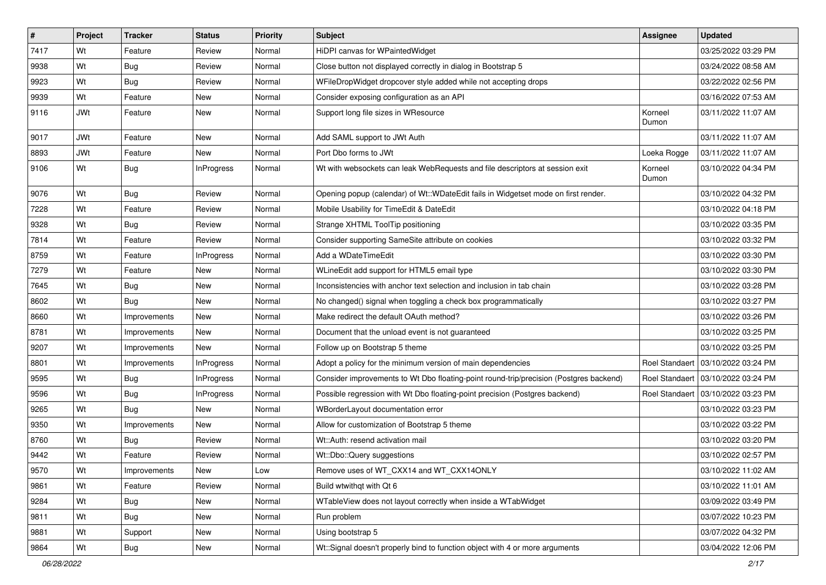| $\vert$ # | Project    | <b>Tracker</b> | <b>Status</b>     | Priority | <b>Subject</b>                                                                         | Assignee         | <b>Updated</b>                       |
|-----------|------------|----------------|-------------------|----------|----------------------------------------------------------------------------------------|------------------|--------------------------------------|
| 7417      | Wt         | Feature        | Review            | Normal   | HiDPI canvas for WPaintedWidget                                                        |                  | 03/25/2022 03:29 PM                  |
| 9938      | Wt         | Bug            | Review            | Normal   | Close button not displayed correctly in dialog in Bootstrap 5                          |                  | 03/24/2022 08:58 AM                  |
| 9923      | Wt         | Bug            | Review            | Normal   | WFileDropWidget dropcover style added while not accepting drops                        |                  | 03/22/2022 02:56 PM                  |
| 9939      | Wt         | Feature        | New               | Normal   | Consider exposing configuration as an API                                              |                  | 03/16/2022 07:53 AM                  |
| 9116      | <b>JWt</b> | Feature        | <b>New</b>        | Normal   | Support long file sizes in WResource                                                   | Korneel<br>Dumon | 03/11/2022 11:07 AM                  |
| 9017      | <b>JWt</b> | Feature        | <b>New</b>        | Normal   | Add SAML support to JWt Auth                                                           |                  | 03/11/2022 11:07 AM                  |
| 8893      | <b>JWt</b> | Feature        | <b>New</b>        | Normal   | Port Dbo forms to JWt                                                                  | Loeka Rogge      | 03/11/2022 11:07 AM                  |
| 9106      | Wt         | Bug            | <b>InProgress</b> | Normal   | Wt with websockets can leak WebRequests and file descriptors at session exit           | Korneel<br>Dumon | 03/10/2022 04:34 PM                  |
| 9076      | Wt         | <b>Bug</b>     | Review            | Normal   | Opening popup (calendar) of Wt::WDateEdit fails in Widgetset mode on first render.     |                  | 03/10/2022 04:32 PM                  |
| 7228      | Wt         | Feature        | Review            | Normal   | Mobile Usability for TimeEdit & DateEdit                                               |                  | 03/10/2022 04:18 PM                  |
| 9328      | Wt         | Bug            | Review            | Normal   | Strange XHTML ToolTip positioning                                                      |                  | 03/10/2022 03:35 PM                  |
| 7814      | Wt         | Feature        | Review            | Normal   | Consider supporting SameSite attribute on cookies                                      |                  | 03/10/2022 03:32 PM                  |
| 8759      | Wt         | Feature        | InProgress        | Normal   | Add a WDateTimeEdit                                                                    |                  | 03/10/2022 03:30 PM                  |
| 7279      | Wt         | Feature        | <b>New</b>        | Normal   | WLineEdit add support for HTML5 email type                                             |                  | 03/10/2022 03:30 PM                  |
| 7645      | Wt         | <b>Bug</b>     | New               | Normal   | Inconsistencies with anchor text selection and inclusion in tab chain                  |                  | 03/10/2022 03:28 PM                  |
| 8602      | Wt         | Bug            | <b>New</b>        | Normal   | No changed() signal when toggling a check box programmatically                         |                  | 03/10/2022 03:27 PM                  |
| 8660      | Wt         | Improvements   | New               | Normal   | Make redirect the default OAuth method?                                                |                  | 03/10/2022 03:26 PM                  |
| 8781      | Wt         | Improvements   | New               | Normal   | Document that the unload event is not guaranteed                                       |                  | 03/10/2022 03:25 PM                  |
| 9207      | Wt         | Improvements   | <b>New</b>        | Normal   | Follow up on Bootstrap 5 theme                                                         |                  | 03/10/2022 03:25 PM                  |
| 8801      | Wt         | Improvements   | <b>InProgress</b> | Normal   | Adopt a policy for the minimum version of main dependencies                            | Roel Standaert   | 03/10/2022 03:24 PM                  |
| 9595      | Wt         | <b>Bug</b>     | <b>InProgress</b> | Normal   | Consider improvements to Wt Dbo floating-point round-trip/precision (Postgres backend) |                  | Roel Standaert   03/10/2022 03:24 PM |
| 9596      | Wt         | Bug            | InProgress        | Normal   | Possible regression with Wt Dbo floating-point precision (Postgres backend)            | Roel Standaert   | 03/10/2022 03:23 PM                  |
| 9265      | Wt         | <b>Bug</b>     | <b>New</b>        | Normal   | WBorderLayout documentation error                                                      |                  | 03/10/2022 03:23 PM                  |
| 9350      | Wt         | Improvements   | New               | Normal   | Allow for customization of Bootstrap 5 theme                                           |                  | 03/10/2022 03:22 PM                  |
| 8760      | Wt         | <b>Bug</b>     | Review            | Normal   | Wt::Auth: resend activation mail                                                       |                  | 03/10/2022 03:20 PM                  |
| 9442      | Wt         | Feature        | Review            | Normal   | Wt::Dbo::Query suggestions                                                             |                  | 03/10/2022 02:57 PM                  |
| 9570      | Wt         | Improvements   | New               | Low      | Remove uses of WT_CXX14 and WT_CXX14ONLY                                               |                  | 03/10/2022 11:02 AM                  |
| 9861      | Wt         | Feature        | Review            | Normal   | Build wtwithqt with Qt 6                                                               |                  | 03/10/2022 11:01 AM                  |
| 9284      | Wt         | <b>Bug</b>     | New               | Normal   | WTableView does not layout correctly when inside a WTabWidget                          |                  | 03/09/2022 03:49 PM                  |
| 9811      | Wt         | Bug            | New               | Normal   | Run problem                                                                            |                  | 03/07/2022 10:23 PM                  |
| 9881      | Wt         | Support        | New               | Normal   | Using bootstrap 5                                                                      |                  | 03/07/2022 04:32 PM                  |
| 9864      | Wt         | <b>Bug</b>     | New               | Normal   | Wt::Signal doesn't properly bind to function object with 4 or more arguments           |                  | 03/04/2022 12:06 PM                  |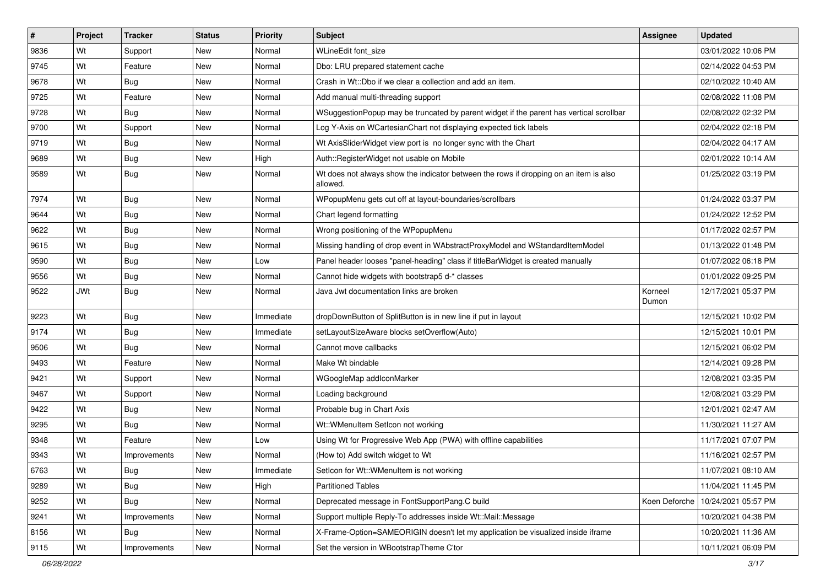| $\vert$ # | Project    | <b>Tracker</b> | <b>Status</b> | Priority  | <b>Subject</b>                                                                                    | Assignee         | <b>Updated</b>      |
|-----------|------------|----------------|---------------|-----------|---------------------------------------------------------------------------------------------------|------------------|---------------------|
| 9836      | Wt         | Support        | New           | Normal    | WLineEdit font_size                                                                               |                  | 03/01/2022 10:06 PM |
| 9745      | Wt         | Feature        | <b>New</b>    | Normal    | Dbo: LRU prepared statement cache                                                                 |                  | 02/14/2022 04:53 PM |
| 9678      | Wt         | Bug            | New           | Normal    | Crash in Wt::Dbo if we clear a collection and add an item.                                        |                  | 02/10/2022 10:40 AM |
| 9725      | Wt         | Feature        | New           | Normal    | Add manual multi-threading support                                                                |                  | 02/08/2022 11:08 PM |
| 9728      | Wt         | <b>Bug</b>     | <b>New</b>    | Normal    | WSuggestionPopup may be truncated by parent widget if the parent has vertical scrollbar           |                  | 02/08/2022 02:32 PM |
| 9700      | Wt         | Support        | New           | Normal    | Log Y-Axis on WCartesianChart not displaying expected tick labels                                 |                  | 02/04/2022 02:18 PM |
| 9719      | Wt         | Bug            | New           | Normal    | Wt AxisSliderWidget view port is no longer sync with the Chart                                    |                  | 02/04/2022 04:17 AM |
| 9689      | Wt         | Bug            | New           | High      | Auth::RegisterWidget not usable on Mobile                                                         |                  | 02/01/2022 10:14 AM |
| 9589      | Wt         | Bug            | <b>New</b>    | Normal    | Wt does not always show the indicator between the rows if dropping on an item is also<br>allowed. |                  | 01/25/2022 03:19 PM |
| 7974      | Wt         | Bug            | New           | Normal    | WPopupMenu gets cut off at layout-boundaries/scrollbars                                           |                  | 01/24/2022 03:37 PM |
| 9644      | Wt         | Bug            | New           | Normal    | Chart legend formatting                                                                           |                  | 01/24/2022 12:52 PM |
| 9622      | Wt         | <b>Bug</b>     | <b>New</b>    | Normal    | Wrong positioning of the WPopupMenu                                                               |                  | 01/17/2022 02:57 PM |
| 9615      | Wt         | Bug            | New           | Normal    | Missing handling of drop event in WAbstractProxyModel and WStandardItemModel                      |                  | 01/13/2022 01:48 PM |
| 9590      | Wt         | <b>Bug</b>     | New           | Low       | Panel header looses "panel-heading" class if titleBarWidget is created manually                   |                  | 01/07/2022 06:18 PM |
| 9556      | Wt         | Bug            | New           | Normal    | Cannot hide widgets with bootstrap5 d-* classes                                                   |                  | 01/01/2022 09:25 PM |
| 9522      | <b>JWt</b> | Bug            | New           | Normal    | Java Jwt documentation links are broken                                                           | Korneel<br>Dumon | 12/17/2021 05:37 PM |
| 9223      | Wt         | Bug            | New           | Immediate | dropDownButton of SplitButton is in new line if put in layout                                     |                  | 12/15/2021 10:02 PM |
| 9174      | Wt         | <b>Bug</b>     | New           | Immediate | setLayoutSizeAware blocks setOverflow(Auto)                                                       |                  | 12/15/2021 10:01 PM |
| 9506      | Wt         | <b>Bug</b>     | <b>New</b>    | Normal    | Cannot move callbacks                                                                             |                  | 12/15/2021 06:02 PM |
| 9493      | Wt         | Feature        | New           | Normal    | Make Wt bindable                                                                                  |                  | 12/14/2021 09:28 PM |
| 9421      | Wt         | Support        | New           | Normal    | WGoogleMap addlconMarker                                                                          |                  | 12/08/2021 03:35 PM |
| 9467      | Wt         | Support        | New           | Normal    | Loading background                                                                                |                  | 12/08/2021 03:29 PM |
| 9422      | Wt         | Bug            | New           | Normal    | Probable bug in Chart Axis                                                                        |                  | 12/01/2021 02:47 AM |
| 9295      | Wt         | Bug            | <b>New</b>    | Normal    | Wt::WMenuItem SetIcon not working                                                                 |                  | 11/30/2021 11:27 AM |
| 9348      | Wt         | Feature        | New           | Low       | Using Wt for Progressive Web App (PWA) with offline capabilities                                  |                  | 11/17/2021 07:07 PM |
| 9343      | Wt         | Improvements   | New           | Normal    | (How to) Add switch widget to Wt                                                                  |                  | 11/16/2021 02:57 PM |
| 6763      | Wt         | <b>Bug</b>     | New           | Immediate | Seticon for Wt::WMenuItem is not working                                                          |                  | 11/07/2021 08:10 AM |
| 9289      | Wt         | <b>Bug</b>     | New           | High      | <b>Partitioned Tables</b>                                                                         |                  | 11/04/2021 11:45 PM |
| 9252      | Wt         | <b>Bug</b>     | New           | Normal    | Deprecated message in FontSupportPang.C build                                                     | Koen Deforche    | 10/24/2021 05:57 PM |
| 9241      | Wt         | Improvements   | New           | Normal    | Support multiple Reply-To addresses inside Wt::Mail::Message                                      |                  | 10/20/2021 04:38 PM |
| 8156      | Wt         | Bug            | New           | Normal    | X-Frame-Option=SAMEORIGIN doesn't let my application be visualized inside iframe                  |                  | 10/20/2021 11:36 AM |
| 9115      | Wt         | Improvements   | New           | Normal    | Set the version in WBootstrapTheme C'tor                                                          |                  | 10/11/2021 06:09 PM |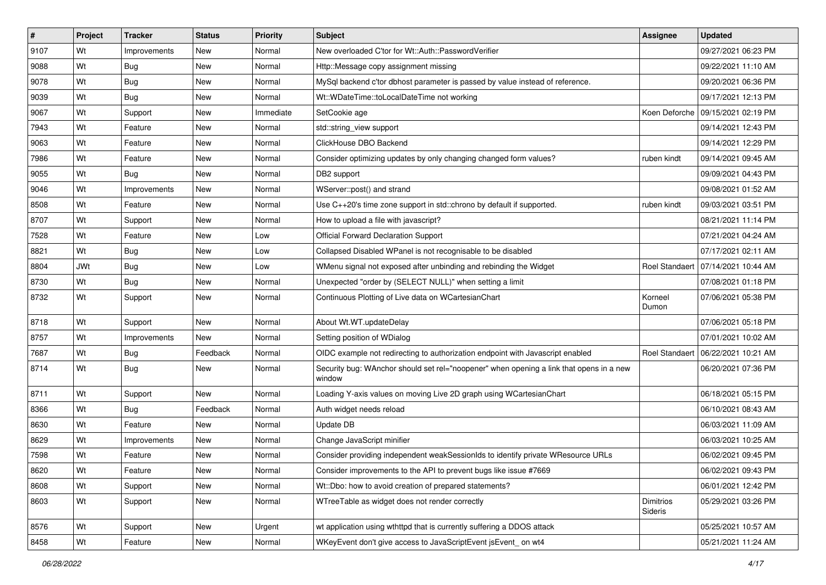| $\vert$ # | Project    | <b>Tracker</b> | <b>Status</b> | <b>Priority</b> | Subject                                                                                           | <b>Assignee</b>             | <b>Updated</b>                       |
|-----------|------------|----------------|---------------|-----------------|---------------------------------------------------------------------------------------------------|-----------------------------|--------------------------------------|
| 9107      | Wt         | Improvements   | New           | Normal          | New overloaded C'tor for Wt::Auth::PasswordVerifier                                               |                             | 09/27/2021 06:23 PM                  |
| 9088      | Wt         | <b>Bug</b>     | <b>New</b>    | Normal          | Http::Message copy assignment missing                                                             |                             | 09/22/2021 11:10 AM                  |
| 9078      | Wt         | Bug            | New           | Normal          | MySql backend c'tor dbhost parameter is passed by value instead of reference.                     |                             | 09/20/2021 06:36 PM                  |
| 9039      | Wt         | Bug            | New           | Normal          | Wt::WDateTime::toLocalDateTime not working                                                        |                             | 09/17/2021 12:13 PM                  |
| 9067      | Wt         | Support        | <b>New</b>    | Immediate       | SetCookie age                                                                                     |                             | Koen Deforche   09/15/2021 02:19 PM  |
| 7943      | Wt         | Feature        | New           | Normal          | std::string_view support                                                                          |                             | 09/14/2021 12:43 PM                  |
| 9063      | Wt         | Feature        | New           | Normal          | ClickHouse DBO Backend                                                                            |                             | 09/14/2021 12:29 PM                  |
| 7986      | Wt         | Feature        | New           | Normal          | Consider optimizing updates by only changing changed form values?                                 | ruben kindt                 | 09/14/2021 09:45 AM                  |
| 9055      | Wt         | <b>Bug</b>     | New           | Normal          | DB2 support                                                                                       |                             | 09/09/2021 04:43 PM                  |
| 9046      | Wt         | Improvements   | New           | Normal          | WServer::post() and strand                                                                        |                             | 09/08/2021 01:52 AM                  |
| 8508      | Wt         | Feature        | New           | Normal          | Use C++20's time zone support in std::chrono by default if supported.                             | ruben kindt                 | 09/03/2021 03:51 PM                  |
| 8707      | Wt         | Support        | New           | Normal          | How to upload a file with javascript?                                                             |                             | 08/21/2021 11:14 PM                  |
| 7528      | Wt         | Feature        | New           | Low             | <b>Official Forward Declaration Support</b>                                                       |                             | 07/21/2021 04:24 AM                  |
| 8821      | Wt         | Bug            | New           | Low             | Collapsed Disabled WPanel is not recognisable to be disabled                                      |                             | 07/17/2021 02:11 AM                  |
| 8804      | <b>JWt</b> | Bug            | New           | Low             | WMenu signal not exposed after unbinding and rebinding the Widget                                 |                             | Roel Standaert 07/14/2021 10:44 AM   |
| 8730      | Wt         | Bug            | New           | Normal          | Unexpected "order by (SELECT NULL)" when setting a limit                                          |                             | 07/08/2021 01:18 PM                  |
| 8732      | Wt         | Support        | New           | Normal          | Continuous Plotting of Live data on WCartesianChart                                               | Korneel<br>Dumon            | 07/06/2021 05:38 PM                  |
| 8718      | Wt         | Support        | New           | Normal          | About Wt.WT.updateDelay                                                                           |                             | 07/06/2021 05:18 PM                  |
| 8757      | Wt         | Improvements   | New           | Normal          | Setting position of WDialog                                                                       |                             | 07/01/2021 10:02 AM                  |
| 7687      | Wt         | <b>Bug</b>     | Feedback      | Normal          | OIDC example not redirecting to authorization endpoint with Javascript enabled                    |                             | Roel Standaert   06/22/2021 10:21 AM |
| 8714      | Wt         | Bug            | New           | Normal          | Security bug: WAnchor should set rel="noopener" when opening a link that opens in a new<br>window |                             | 06/20/2021 07:36 PM                  |
| 8711      | Wt         | Support        | New           | Normal          | Loading Y-axis values on moving Live 2D graph using WCartesianChart                               |                             | 06/18/2021 05:15 PM                  |
| 8366      | Wt         | Bug            | Feedback      | Normal          | Auth widget needs reload                                                                          |                             | 06/10/2021 08:43 AM                  |
| 8630      | Wt         | Feature        | <b>New</b>    | Normal          | Update DB                                                                                         |                             | 06/03/2021 11:09 AM                  |
| 8629      | Wt         | Improvements   | New           | Normal          | Change JavaScript minifier                                                                        |                             | 06/03/2021 10:25 AM                  |
| 7598      | Wt         | Feature        | New           | Normal          | Consider providing independent weakSessionIds to identify private WResource URLs                  |                             | 06/02/2021 09:45 PM                  |
| 8620      | Wt         | Feature        | New           | Normal          | Consider improvements to the API to prevent bugs like issue #7669                                 |                             | 06/02/2021 09:43 PM                  |
| 8608      | Wt         | Support        | New           | Normal          | Wt::Dbo: how to avoid creation of prepared statements?                                            |                             | 06/01/2021 12:42 PM                  |
| 8603      | Wt         | Support        | New           | Normal          | WTreeTable as widget does not render correctly                                                    | <b>Dimitrios</b><br>Sideris | 05/29/2021 03:26 PM                  |
| 8576      | Wt         | Support        | New           | Urgent          | wt application using wthttpd that is currently suffering a DDOS attack                            |                             | 05/25/2021 10:57 AM                  |
| 8458      | Wt         | Feature        | New           | Normal          | WKeyEvent don't give access to JavaScriptEvent jsEvent_on wt4                                     |                             | 05/21/2021 11:24 AM                  |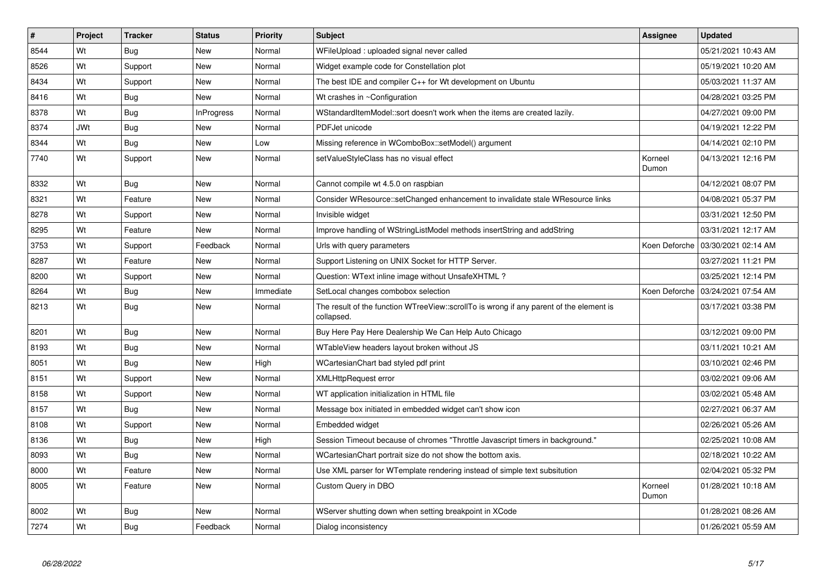| #    | <b>Project</b> | <b>Tracker</b> | <b>Status</b>     | Priority  | <b>Subject</b>                                                                                        | Assignee         | <b>Updated</b>      |
|------|----------------|----------------|-------------------|-----------|-------------------------------------------------------------------------------------------------------|------------------|---------------------|
| 8544 | Wt             | Bug            | <b>New</b>        | Normal    | WFileUpload : uploaded signal never called                                                            |                  | 05/21/2021 10:43 AM |
| 8526 | Wt             | Support        | <b>New</b>        | Normal    | Widget example code for Constellation plot                                                            |                  | 05/19/2021 10:20 AM |
| 8434 | Wt             | Support        | New               | Normal    | The best IDE and compiler C++ for Wt development on Ubuntu                                            |                  | 05/03/2021 11:37 AM |
| 8416 | Wt             | <b>Bug</b>     | <b>New</b>        | Normal    | Wt crashes in ~Configuration                                                                          |                  | 04/28/2021 03:25 PM |
| 8378 | Wt             | <b>Bug</b>     | <b>InProgress</b> | Normal    | WStandardItemModel::sort doesn't work when the items are created lazily.                              |                  | 04/27/2021 09:00 PM |
| 8374 | <b>JWt</b>     | Bug            | New               | Normal    | PDFJet unicode                                                                                        |                  | 04/19/2021 12:22 PM |
| 8344 | Wt             | <b>Bug</b>     | New               | Low       | Missing reference in WComboBox::setModel() argument                                                   |                  | 04/14/2021 02:10 PM |
| 7740 | Wt             | Support        | New               | Normal    | setValueStyleClass has no visual effect                                                               | Korneel<br>Dumon | 04/13/2021 12:16 PM |
| 8332 | Wt             | Bug            | <b>New</b>        | Normal    | Cannot compile wt 4.5.0 on raspbian                                                                   |                  | 04/12/2021 08:07 PM |
| 8321 | Wt             | Feature        | New               | Normal    | Consider WResource::setChanged enhancement to invalidate stale WResource links                        |                  | 04/08/2021 05:37 PM |
| 8278 | Wt             | Support        | <b>New</b>        | Normal    | Invisible widget                                                                                      |                  | 03/31/2021 12:50 PM |
| 8295 | Wt             | Feature        | New               | Normal    | Improve handling of WStringListModel methods insertString and addString                               |                  | 03/31/2021 12:17 AM |
| 3753 | Wt             | Support        | Feedback          | Normal    | Urls with query parameters                                                                            | Koen Deforche    | 03/30/2021 02:14 AM |
| 8287 | Wt             | Feature        | <b>New</b>        | Normal    | Support Listening on UNIX Socket for HTTP Server.                                                     |                  | 03/27/2021 11:21 PM |
| 8200 | Wt             | Support        | New               | Normal    | Question: WText inline image without UnsafeXHTML?                                                     |                  | 03/25/2021 12:14 PM |
| 8264 | Wt             | <b>Bug</b>     | <b>New</b>        | Immediate | SetLocal changes combobox selection                                                                   | Koen Deforche    | 03/24/2021 07:54 AM |
| 8213 | Wt             | Bug            | New               | Normal    | The result of the function WTreeView::scrollTo is wrong if any parent of the element is<br>collapsed. |                  | 03/17/2021 03:38 PM |
| 8201 | Wt             | <b>Bug</b>     | <b>New</b>        | Normal    | Buy Here Pay Here Dealership We Can Help Auto Chicago                                                 |                  | 03/12/2021 09:00 PM |
| 8193 | Wt             | Bug            | New               | Normal    | WTableView headers layout broken without JS                                                           |                  | 03/11/2021 10:21 AM |
| 8051 | Wt             | Bug            | New               | High      | WCartesianChart bad styled pdf print                                                                  |                  | 03/10/2021 02:46 PM |
| 8151 | Wt             | Support        | New               | Normal    | <b>XMLHttpRequest error</b>                                                                           |                  | 03/02/2021 09:06 AM |
| 8158 | Wt             | Support        | New               | Normal    | WT application initialization in HTML file                                                            |                  | 03/02/2021 05:48 AM |
| 8157 | Wt             | Bug            | New               | Normal    | Message box initiated in embedded widget can't show icon                                              |                  | 02/27/2021 06:37 AM |
| 8108 | Wt             | Support        | New               | Normal    | Embedded widget                                                                                       |                  | 02/26/2021 05:26 AM |
| 8136 | Wt             | <b>Bug</b>     | New               | High      | Session Timeout because of chromes "Throttle Javascript timers in background."                        |                  | 02/25/2021 10:08 AM |
| 8093 | Wt             | Bug            | New               | Normal    | WCartesianChart portrait size do not show the bottom axis.                                            |                  | 02/18/2021 10:22 AM |
| 8000 | Wt             | Feature        | New               | Normal    | Use XML parser for WTemplate rendering instead of simple text subsitution                             |                  | 02/04/2021 05:32 PM |
| 8005 | Wt             | Feature        | <b>New</b>        | Normal    | Custom Query in DBO                                                                                   | Korneel<br>Dumon | 01/28/2021 10:18 AM |
| 8002 | Wt             | <b>Bug</b>     | New               | Normal    | WServer shutting down when setting breakpoint in XCode                                                |                  | 01/28/2021 08:26 AM |
| 7274 | Wt             | Bug            | Feedback          | Normal    | Dialog inconsistency                                                                                  |                  | 01/26/2021 05:59 AM |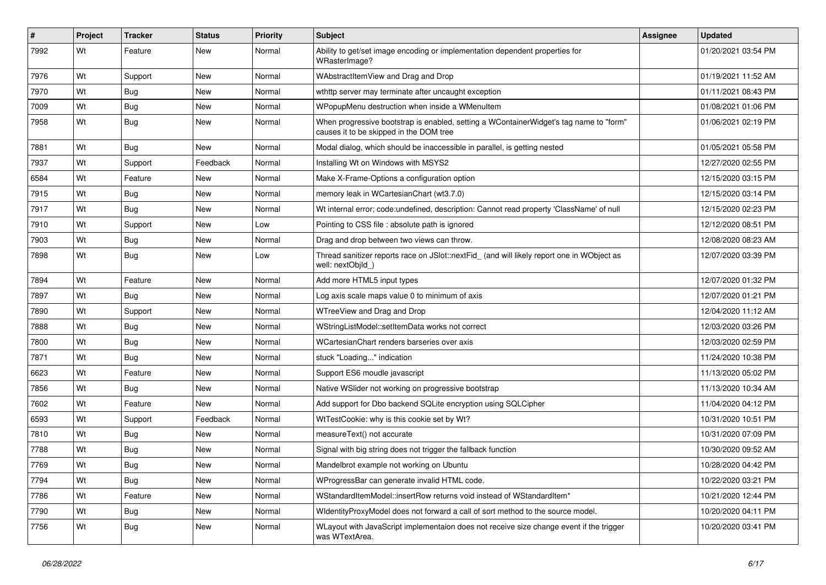| ∦    | Project | <b>Tracker</b> | <b>Status</b> | Priority | Subject                                                                                                                           | <b>Assignee</b> | <b>Updated</b>      |
|------|---------|----------------|---------------|----------|-----------------------------------------------------------------------------------------------------------------------------------|-----------------|---------------------|
| 7992 | Wt      | Feature        | New           | Normal   | Ability to get/set image encoding or implementation dependent properties for<br>WRasterImage?                                     |                 | 01/20/2021 03:54 PM |
| 7976 | Wt      | Support        | New           | Normal   | WAbstractItemView and Drag and Drop                                                                                               |                 | 01/19/2021 11:52 AM |
| 7970 | Wt      | <b>Bug</b>     | New           | Normal   | wthttp server may terminate after uncaught exception                                                                              |                 | 01/11/2021 08:43 PM |
| 7009 | Wt      | Bug            | New           | Normal   | WPopupMenu destruction when inside a WMenuItem                                                                                    |                 | 01/08/2021 01:06 PM |
| 7958 | Wt      | Bug            | New           | Normal   | When progressive bootstrap is enabled, setting a WContainerWidget's tag name to "form"<br>causes it to be skipped in the DOM tree |                 | 01/06/2021 02:19 PM |
| 7881 | Wt      | <b>Bug</b>     | <b>New</b>    | Normal   | Modal dialog, which should be inaccessible in parallel, is getting nested                                                         |                 | 01/05/2021 05:58 PM |
| 7937 | Wt      | Support        | Feedback      | Normal   | Installing Wt on Windows with MSYS2                                                                                               |                 | 12/27/2020 02:55 PM |
| 6584 | Wt      | Feature        | New           | Normal   | Make X-Frame-Options a configuration option                                                                                       |                 | 12/15/2020 03:15 PM |
| 7915 | Wt      | Bug            | New           | Normal   | memory leak in WCartesianChart (wt3.7.0)                                                                                          |                 | 12/15/2020 03:14 PM |
| 7917 | Wt      | Bug            | New           | Normal   | Wt internal error; code:undefined, description: Cannot read property 'ClassName' of null                                          |                 | 12/15/2020 02:23 PM |
| 7910 | Wt      | Support        | <b>New</b>    | Low      | Pointing to CSS file : absolute path is ignored                                                                                   |                 | 12/12/2020 08:51 PM |
| 7903 | Wt      | Bug            | New           | Normal   | Drag and drop between two views can throw.                                                                                        |                 | 12/08/2020 08:23 AM |
| 7898 | Wt      | Bug            | New           | Low      | Thread sanitizer reports race on JSlot::nextFid_ (and will likely report one in WObject as<br>well: nextObild )                   |                 | 12/07/2020 03:39 PM |
| 7894 | Wt      | Feature        | <b>New</b>    | Normal   | Add more HTML5 input types                                                                                                        |                 | 12/07/2020 01:32 PM |
| 7897 | Wt      | Bug            | New           | Normal   | Log axis scale maps value 0 to minimum of axis                                                                                    |                 | 12/07/2020 01:21 PM |
| 7890 | Wt      | Support        | New           | Normal   | WTreeView and Drag and Drop                                                                                                       |                 | 12/04/2020 11:12 AM |
| 7888 | Wt      | Bug            | New           | Normal   | WStringListModel::setItemData works not correct                                                                                   |                 | 12/03/2020 03:26 PM |
| 7800 | Wt      | Bug            | <b>New</b>    | Normal   | WCartesianChart renders barseries over axis                                                                                       |                 | 12/03/2020 02:59 PM |
| 7871 | Wt      | <b>Bug</b>     | New           | Normal   | stuck "Loading" indication                                                                                                        |                 | 11/24/2020 10:38 PM |
| 6623 | Wt      | Feature        | New           | Normal   | Support ES6 moudle javascript                                                                                                     |                 | 11/13/2020 05:02 PM |
| 7856 | Wt      | <b>Bug</b>     | New           | Normal   | Native WSIider not working on progressive bootstrap                                                                               |                 | 11/13/2020 10:34 AM |
| 7602 | Wt      | Feature        | New           | Normal   | Add support for Dbo backend SQLite encryption using SQLCipher                                                                     |                 | 11/04/2020 04:12 PM |
| 6593 | Wt      | Support        | Feedback      | Normal   | WtTestCookie: why is this cookie set by Wt?                                                                                       |                 | 10/31/2020 10:51 PM |
| 7810 | Wt      | <b>Bug</b>     | New           | Normal   | measureText() not accurate                                                                                                        |                 | 10/31/2020 07:09 PM |
| 7788 | Wt      | Bug            | New           | Normal   | Signal with big string does not trigger the fallback function                                                                     |                 | 10/30/2020 09:52 AM |
| 7769 | Wt      | Bug            | New           | Normal   | Mandelbrot example not working on Ubuntu                                                                                          |                 | 10/28/2020 04:42 PM |
| 7794 | Wt      | Bug            | New           | Normal   | WProgressBar can generate invalid HTML code.                                                                                      |                 | 10/22/2020 03:21 PM |
| 7786 | Wt      | Feature        | New           | Normal   | WStandardItemModel::insertRow returns void instead of WStandardItem*                                                              |                 | 10/21/2020 12:44 PM |
| 7790 | Wt      | Bug            | New           | Normal   | WidentityProxyModel does not forward a call of sort method to the source model.                                                   |                 | 10/20/2020 04:11 PM |
| 7756 | Wt      | <b>Bug</b>     | New           | Normal   | WLayout with JavaScript implementaion does not receive size change event if the trigger<br>was WTextArea.                         |                 | 10/20/2020 03:41 PM |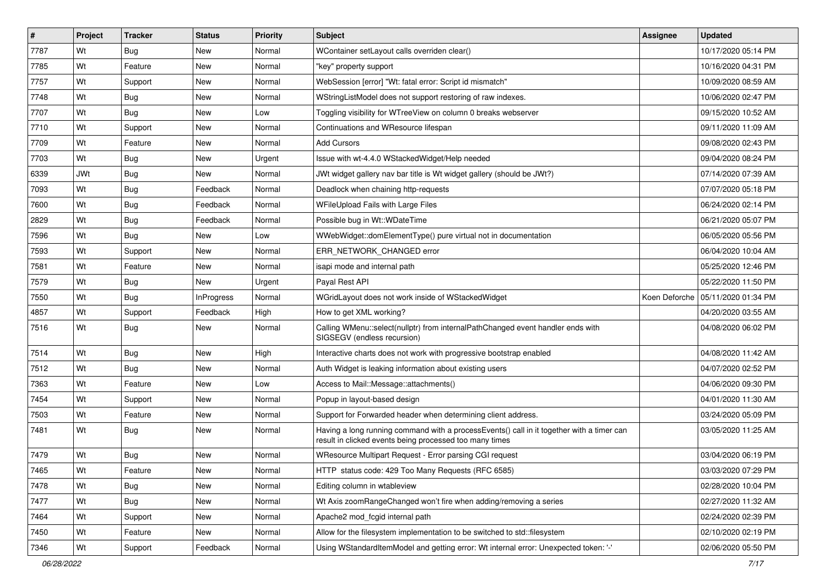| #    | Project    | <b>Tracker</b> | <b>Status</b>     | <b>Priority</b> | <b>Subject</b>                                                                                                                                       | <b>Assignee</b> | <b>Updated</b>                      |
|------|------------|----------------|-------------------|-----------------|------------------------------------------------------------------------------------------------------------------------------------------------------|-----------------|-------------------------------------|
| 7787 | Wt         | Bug            | New               | Normal          | WContainer setLayout calls overriden clear()                                                                                                         |                 | 10/17/2020 05:14 PM                 |
| 7785 | Wt         | Feature        | New               | Normal          | "key" property support                                                                                                                               |                 | 10/16/2020 04:31 PM                 |
| 7757 | Wt         | Support        | New               | Normal          | WebSession [error] "Wt: fatal error: Script id mismatch"                                                                                             |                 | 10/09/2020 08:59 AM                 |
| 7748 | Wt         | Bug            | <b>New</b>        | Normal          | WStringListModel does not support restoring of raw indexes.                                                                                          |                 | 10/06/2020 02:47 PM                 |
| 7707 | Wt         | <b>Bug</b>     | New               | Low             | Toggling visibility for WTreeView on column 0 breaks webserver                                                                                       |                 | 09/15/2020 10:52 AM                 |
| 7710 | Wt         | Support        | New               | Normal          | Continuations and WResource lifespan                                                                                                                 |                 | 09/11/2020 11:09 AM                 |
| 7709 | Wt         | Feature        | New               | Normal          | <b>Add Cursors</b>                                                                                                                                   |                 | 09/08/2020 02:43 PM                 |
| 7703 | Wt         | Bug            | New               | Urgent          | Issue with wt-4.4.0 WStackedWidget/Help needed                                                                                                       |                 | 09/04/2020 08:24 PM                 |
| 6339 | <b>JWt</b> | Bug            | New               | Normal          | JWt widget gallery nav bar title is Wt widget gallery (should be JWt?)                                                                               |                 | 07/14/2020 07:39 AM                 |
| 7093 | Wt         | Bug            | Feedback          | Normal          | Deadlock when chaining http-requests                                                                                                                 |                 | 07/07/2020 05:18 PM                 |
| 7600 | Wt         | Bug            | Feedback          | Normal          | WFileUpload Fails with Large Files                                                                                                                   |                 | 06/24/2020 02:14 PM                 |
| 2829 | Wt         | Bug            | Feedback          | Normal          | Possible bug in Wt::WDateTime                                                                                                                        |                 | 06/21/2020 05:07 PM                 |
| 7596 | Wt         | Bug            | <b>New</b>        | Low             | WWebWidget::domElementType() pure virtual not in documentation                                                                                       |                 | 06/05/2020 05:56 PM                 |
| 7593 | Wt         | Support        | New               | Normal          | ERR NETWORK CHANGED error                                                                                                                            |                 | 06/04/2020 10:04 AM                 |
| 7581 | Wt         | Feature        | <b>New</b>        | Normal          | isapi mode and internal path                                                                                                                         |                 | 05/25/2020 12:46 PM                 |
| 7579 | Wt         | Bug            | New               | Urgent          | Payal Rest API                                                                                                                                       |                 | 05/22/2020 11:50 PM                 |
| 7550 | Wt         | Bug            | <b>InProgress</b> | Normal          | WGridLayout does not work inside of WStackedWidget                                                                                                   |                 | Koen Deforche   05/11/2020 01:34 PM |
| 4857 | Wt         | Support        | Feedback          | High            | How to get XML working?                                                                                                                              |                 | 04/20/2020 03:55 AM                 |
| 7516 | Wt         | Bug            | New               | Normal          | Calling WMenu::select(nullptr) from internalPathChanged event handler ends with<br>SIGSEGV (endless recursion)                                       |                 | 04/08/2020 06:02 PM                 |
| 7514 | Wt         | <b>Bug</b>     | <b>New</b>        | High            | Interactive charts does not work with progressive bootstrap enabled                                                                                  |                 | 04/08/2020 11:42 AM                 |
| 7512 | Wt         | Bug            | New               | Normal          | Auth Widget is leaking information about existing users                                                                                              |                 | 04/07/2020 02:52 PM                 |
| 7363 | Wt         | Feature        | New               | Low             | Access to Mail::Message::attachments()                                                                                                               |                 | 04/06/2020 09:30 PM                 |
| 7454 | Wt         | Support        | New               | Normal          | Popup in layout-based design                                                                                                                         |                 | 04/01/2020 11:30 AM                 |
| 7503 | Wt         | Feature        | New               | Normal          | Support for Forwarded header when determining client address.                                                                                        |                 | 03/24/2020 05:09 PM                 |
| 7481 | Wt         | Bug            | New               | Normal          | Having a long running command with a processEvents() call in it together with a timer can<br>result in clicked events being processed too many times |                 | 03/05/2020 11:25 AM                 |
| 7479 | Wt         | Bug            | <b>New</b>        | Normal          | WResource Multipart Request - Error parsing CGI request                                                                                              |                 | 03/04/2020 06:19 PM                 |
| 7465 | Wt         | Feature        | New               | Normal          | HTTP status code: 429 Too Many Requests (RFC 6585)                                                                                                   |                 | 03/03/2020 07:29 PM                 |
| 7478 | Wt         | <b>Bug</b>     | New               | Normal          | Editing column in wtableview                                                                                                                         |                 | 02/28/2020 10:04 PM                 |
| 7477 | Wt         | <b>Bug</b>     | <b>New</b>        | Normal          | Wt Axis zoomRangeChanged won't fire when adding/removing a series                                                                                    |                 | 02/27/2020 11:32 AM                 |
| 7464 | Wt         | Support        | New               | Normal          | Apache2 mod_fcgid internal path                                                                                                                      |                 | 02/24/2020 02:39 PM                 |
| 7450 | Wt         | Feature        | New               | Normal          | Allow for the filesystem implementation to be switched to std::filesystem                                                                            |                 | 02/10/2020 02:19 PM                 |
| 7346 | Wt         | Support        | Feedback          | Normal          | Using WStandardItemModel and getting error: Wt internal error: Unexpected token: '-'                                                                 |                 | 02/06/2020 05:50 PM                 |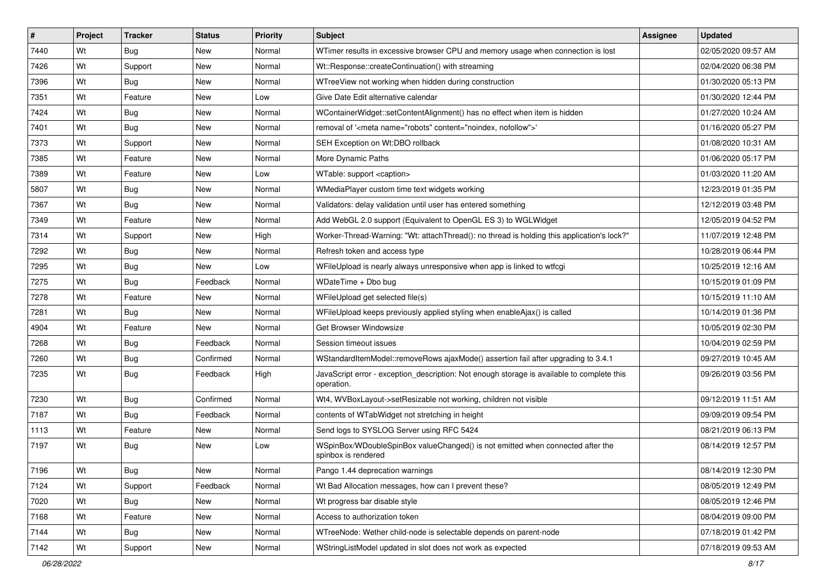| #    | Project | <b>Tracker</b> | <b>Status</b> | <b>Priority</b> | <b>Subject</b>                                                                                           | Assignee | <b>Updated</b>      |
|------|---------|----------------|---------------|-----------------|----------------------------------------------------------------------------------------------------------|----------|---------------------|
| 7440 | Wt      | Bug            | New           | Normal          | WTimer results in excessive browser CPU and memory usage when connection is lost                         |          | 02/05/2020 09:57 AM |
| 7426 | Wt      | Support        | New           | Normal          | Wt::Response::createContinuation() with streaming                                                        |          | 02/04/2020 06:38 PM |
| 7396 | Wt      | Bug            | <b>New</b>    | Normal          | WTreeView not working when hidden during construction                                                    |          | 01/30/2020 05:13 PM |
| 7351 | Wt      | Feature        | New           | Low             | Give Date Edit alternative calendar                                                                      |          | 01/30/2020 12:44 PM |
| 7424 | Wt      | Bug            | <b>New</b>    | Normal          | WContainerWidget::setContentAlignment() has no effect when item is hidden                                |          | 01/27/2020 10:24 AM |
| 7401 | Wt      | Bug            | New           | Normal          | removal of ' <meta content="noindex, nofollow" name="robots"/> '                                         |          | 01/16/2020 05:27 PM |
| 7373 | Wt      | Support        | <b>New</b>    | Normal          | SEH Exception on Wt:DBO rollback                                                                         |          | 01/08/2020 10:31 AM |
| 7385 | Wt      | Feature        | New           | Normal          | More Dynamic Paths                                                                                       |          | 01/06/2020 05:17 PM |
| 7389 | Wt      | Feature        | New           | Low             | WTable: support <caption></caption>                                                                      |          | 01/03/2020 11:20 AM |
| 5807 | Wt      | Bug            | New           | Normal          | WMediaPlayer custom time text widgets working                                                            |          | 12/23/2019 01:35 PM |
| 7367 | Wt      | Bug            | New           | Normal          | Validators: delay validation until user has entered something                                            |          | 12/12/2019 03:48 PM |
| 7349 | Wt      | Feature        | New           | Normal          | Add WebGL 2.0 support (Equivalent to OpenGL ES 3) to WGLWidget                                           |          | 12/05/2019 04:52 PM |
| 7314 | Wt      | Support        | New           | High            | Worker-Thread-Warning: "Wt: attachThread(): no thread is holding this application's lock?"               |          | 11/07/2019 12:48 PM |
| 7292 | Wt      | Bug            | New           | Normal          | Refresh token and access type                                                                            |          | 10/28/2019 06:44 PM |
| 7295 | Wt      | Bug            | New           | Low             | WFileUpload is nearly always unresponsive when app is linked to wtfcgi                                   |          | 10/25/2019 12:16 AM |
| 7275 | Wt      | Bug            | Feedback      | Normal          | WDateTime + Dbo bug                                                                                      |          | 10/15/2019 01:09 PM |
| 7278 | Wt      | Feature        | New           | Normal          | WFileUpload get selected file(s)                                                                         |          | 10/15/2019 11:10 AM |
| 7281 | Wt      | Bug            | New           | Normal          | WFileUpload keeps previously applied styling when enableAjax() is called                                 |          | 10/14/2019 01:36 PM |
| 4904 | Wt      | Feature        | New           | Normal          | Get Browser Windowsize                                                                                   |          | 10/05/2019 02:30 PM |
| 7268 | Wt      | Bug            | Feedback      | Normal          | Session timeout issues                                                                                   |          | 10/04/2019 02:59 PM |
| 7260 | Wt      | Bug            | Confirmed     | Normal          | WStandardItemModel::removeRows ajaxMode() assertion fail after upgrading to 3.4.1                        |          | 09/27/2019 10:45 AM |
| 7235 | Wt      | Bug            | Feedback      | High            | JavaScript error - exception_description: Not enough storage is available to complete this<br>operation. |          | 09/26/2019 03:56 PM |
| 7230 | Wt      | Bug            | Confirmed     | Normal          | Wt4, WVBoxLayout->setResizable not working, children not visible                                         |          | 09/12/2019 11:51 AM |
| 7187 | Wt      | Bug            | Feedback      | Normal          | contents of WTabWidget not stretching in height                                                          |          | 09/09/2019 09:54 PM |
| 1113 | Wt      | Feature        | New           | Normal          | Send logs to SYSLOG Server using RFC 5424                                                                |          | 08/21/2019 06:13 PM |
| 7197 | Wt      | Bug            | New           | Low             | WSpinBox/WDoubleSpinBox valueChanged() is not emitted when connected after the<br>spinbox is rendered    |          | 08/14/2019 12:57 PM |
| 7196 | Wt      | Bug            | New           | Normal          | Pango 1.44 deprecation warnings                                                                          |          | 08/14/2019 12:30 PM |
| 7124 | Wt      | Support        | Feedback      | Normal          | Wt Bad Allocation messages, how can I prevent these?                                                     |          | 08/05/2019 12:49 PM |
| 7020 | Wt      | <b>Bug</b>     | New           | Normal          | Wt progress bar disable style                                                                            |          | 08/05/2019 12:46 PM |
| 7168 | Wt      | Feature        | New           | Normal          | Access to authorization token                                                                            |          | 08/04/2019 09:00 PM |
| 7144 | Wt      | <b>Bug</b>     | New           | Normal          | WTreeNode: Wether child-node is selectable depends on parent-node                                        |          | 07/18/2019 01:42 PM |
| 7142 | Wt      | Support        | New           | Normal          | WStringListModel updated in slot does not work as expected                                               |          | 07/18/2019 09:53 AM |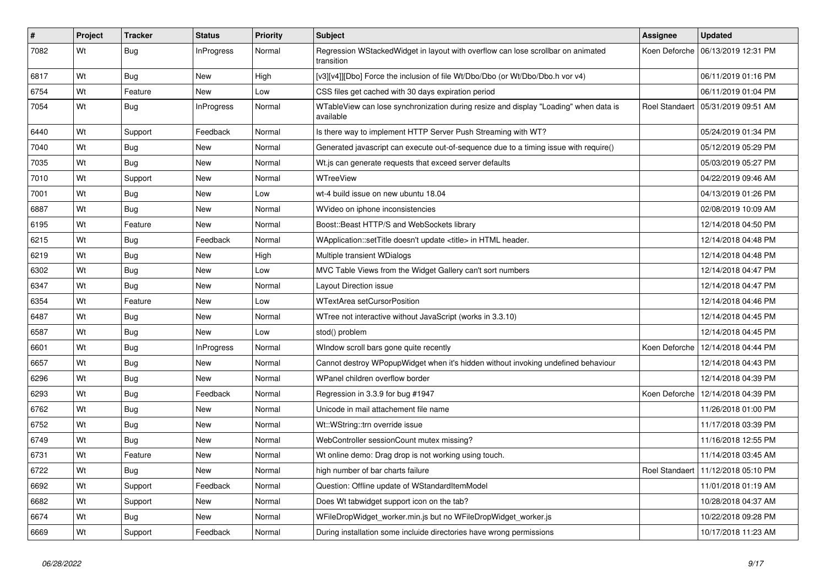| #    | Project | <b>Tracker</b> | <b>Status</b>     | <b>Priority</b> | <b>Subject</b>                                                                                    | <b>Assignee</b> | <b>Updated</b>                       |
|------|---------|----------------|-------------------|-----------------|---------------------------------------------------------------------------------------------------|-----------------|--------------------------------------|
| 7082 | Wt      | Bug            | InProgress        | Normal          | Regression WStackedWidget in layout with overflow can lose scrollbar on animated<br>transition    |                 | Koen Deforche   06/13/2019 12:31 PM  |
| 6817 | Wt      | <b>Bug</b>     | New               | High            | [v3][v4]][Dbo] Force the inclusion of file Wt/Dbo/Dbo (or Wt/Dbo/Dbo.h vor v4)                    |                 | 06/11/2019 01:16 PM                  |
| 6754 | Wt      | Feature        | New               | Low             | CSS files get cached with 30 days expiration period                                               |                 | 06/11/2019 01:04 PM                  |
| 7054 | Wt      | <b>Bug</b>     | <b>InProgress</b> | Normal          | WTableView can lose synchronization during resize and display "Loading" when data is<br>available |                 | Roel Standaert   05/31/2019 09:51 AM |
| 6440 | Wt      | Support        | Feedback          | Normal          | Is there way to implement HTTP Server Push Streaming with WT?                                     |                 | 05/24/2019 01:34 PM                  |
| 7040 | Wt      | <b>Bug</b>     | <b>New</b>        | Normal          | Generated javascript can execute out-of-sequence due to a timing issue with require()             |                 | 05/12/2019 05:29 PM                  |
| 7035 | Wt      | <b>Bug</b>     | <b>New</b>        | Normal          | Wt.js can generate requests that exceed server defaults                                           |                 | 05/03/2019 05:27 PM                  |
| 7010 | Wt      | Support        | New               | Normal          | WTreeView                                                                                         |                 | 04/22/2019 09:46 AM                  |
| 7001 | Wt      | <b>Bug</b>     | New               | Low             | wt-4 build issue on new ubuntu 18.04                                                              |                 | 04/13/2019 01:26 PM                  |
| 6887 | Wt      | Bug            | New               | Normal          | WVideo on iphone inconsistencies                                                                  |                 | 02/08/2019 10:09 AM                  |
| 6195 | Wt      | Feature        | New               | Normal          | Boost::Beast HTTP/S and WebSockets library                                                        |                 | 12/14/2018 04:50 PM                  |
| 6215 | Wt      | Bug            | Feedback          | Normal          | WApplication::setTitle doesn't update <title> in HTML header.</title>                             |                 | 12/14/2018 04:48 PM                  |
| 6219 | Wt      | Bug            | <b>New</b>        | High            | Multiple transient WDialogs                                                                       |                 | 12/14/2018 04:48 PM                  |
| 6302 | Wt      | Bug            | <b>New</b>        | Low             | MVC Table Views from the Widget Gallery can't sort numbers                                        |                 | 12/14/2018 04:47 PM                  |
| 6347 | Wt      | <b>Bug</b>     | New               | Normal          | Layout Direction issue                                                                            |                 | 12/14/2018 04:47 PM                  |
| 6354 | Wt      | Feature        | New               | Low             | <b>WTextArea setCursorPosition</b>                                                                |                 | 12/14/2018 04:46 PM                  |
| 6487 | Wt      | <b>Bug</b>     | New               | Normal          | WTree not interactive without JavaScript (works in 3.3.10)                                        |                 | 12/14/2018 04:45 PM                  |
| 6587 | Wt      | <b>Bug</b>     | <b>New</b>        | Low             | stod() problem                                                                                    |                 | 12/14/2018 04:45 PM                  |
| 6601 | Wt      | <b>Bug</b>     | <b>InProgress</b> | Normal          | Window scroll bars gone quite recently                                                            | Koen Deforche   | 12/14/2018 04:44 PM                  |
| 6657 | Wt      | Bug            | New               | Normal          | Cannot destroy WPopupWidget when it's hidden without invoking undefined behaviour                 |                 | 12/14/2018 04:43 PM                  |
| 6296 | Wt      | Bug            | New               | Normal          | WPanel children overflow border                                                                   |                 | 12/14/2018 04:39 PM                  |
| 6293 | Wt      | <b>Bug</b>     | Feedback          | Normal          | Regression in 3.3.9 for bug #1947                                                                 |                 | Koen Deforche   12/14/2018 04:39 PM  |
| 6762 | Wt      | Bug            | New               | Normal          | Unicode in mail attachement file name                                                             |                 | 11/26/2018 01:00 PM                  |
| 6752 | Wt      | Bug            | New               | Normal          | Wt::WString::trn override issue                                                                   |                 | 11/17/2018 03:39 PM                  |
| 6749 | Wt      | Bug            | New               | Normal          | WebController sessionCount mutex missing?                                                         |                 | 11/16/2018 12:55 PM                  |
| 6731 | Wt      | Feature        | <b>New</b>        | Normal          | Wt online demo: Drag drop is not working using touch.                                             |                 | 11/14/2018 03:45 AM                  |
| 6722 | Wt      | <b>Bug</b>     | <b>New</b>        | Normal          | high number of bar charts failure                                                                 |                 | Roel Standaert   11/12/2018 05:10 PM |
| 6692 | Wt      | Support        | Feedback          | Normal          | Question: Offline update of WStandardItemModel                                                    |                 | 11/01/2018 01:19 AM                  |
| 6682 | Wt      | Support        | New               | Normal          | Does Wt tabwidget support icon on the tab?                                                        |                 | 10/28/2018 04:37 AM                  |
| 6674 | Wt      | <b>Bug</b>     | New               | Normal          | WFileDropWidget_worker.min.js but no WFileDropWidget_worker.js                                    |                 | 10/22/2018 09:28 PM                  |
| 6669 | Wt      | Support        | Feedback          | Normal          | During installation some incluide directories have wrong permissions                              |                 | 10/17/2018 11:23 AM                  |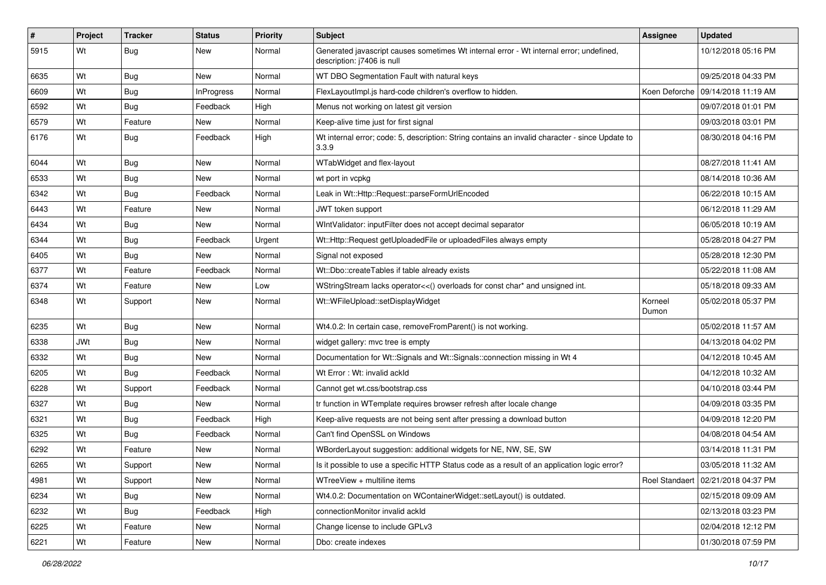| $\sharp$ | Project    | <b>Tracker</b> | <b>Status</b>     | <b>Priority</b> | Subject                                                                                                               | <b>Assignee</b>  | <b>Updated</b>                       |
|----------|------------|----------------|-------------------|-----------------|-----------------------------------------------------------------------------------------------------------------------|------------------|--------------------------------------|
| 5915     | Wt         | <b>Bug</b>     | New               | Normal          | Generated javascript causes sometimes Wt internal error - Wt internal error; undefined,<br>description: j7406 is null |                  | 10/12/2018 05:16 PM                  |
| 6635     | Wt         | <b>Bug</b>     | New               | Normal          | WT DBO Segmentation Fault with natural keys                                                                           |                  | 09/25/2018 04:33 PM                  |
| 6609     | Wt         | <b>Bug</b>     | <b>InProgress</b> | Normal          | FlexLayoutImpl.js hard-code children's overflow to hidden.                                                            |                  | Koen Deforche   09/14/2018 11:19 AM  |
| 6592     | Wt         | Bug            | Feedback          | High            | Menus not working on latest git version                                                                               |                  | 09/07/2018 01:01 PM                  |
| 6579     | Wt         | Feature        | New               | Normal          | Keep-alive time just for first signal                                                                                 |                  | 09/03/2018 03:01 PM                  |
| 6176     | Wt         | Bug            | Feedback          | High            | Wt internal error; code: 5, description: String contains an invalid character - since Update to<br>3.3.9              |                  | 08/30/2018 04:16 PM                  |
| 6044     | Wt         | <b>Bug</b>     | New               | Normal          | WTabWidget and flex-layout                                                                                            |                  | 08/27/2018 11:41 AM                  |
| 6533     | Wt         | <b>Bug</b>     | <b>New</b>        | Normal          | wt port in vcpkg                                                                                                      |                  | 08/14/2018 10:36 AM                  |
| 6342     | Wt         | Bug            | Feedback          | Normal          | Leak in Wt::Http::Request::parseFormUrlEncoded                                                                        |                  | 06/22/2018 10:15 AM                  |
| 6443     | Wt         | Feature        | New               | Normal          | JWT token support                                                                                                     |                  | 06/12/2018 11:29 AM                  |
| 6434     | Wt         | Bug            | <b>New</b>        | Normal          | WIntValidator: inputFilter does not accept decimal separator                                                          |                  | 06/05/2018 10:19 AM                  |
| 6344     | Wt         | <b>Bug</b>     | Feedback          | Urgent          | Wt::Http::Request getUploadedFile or uploadedFiles always empty                                                       |                  | 05/28/2018 04:27 PM                  |
| 6405     | Wt         | <b>Bug</b>     | <b>New</b>        | Normal          | Signal not exposed                                                                                                    |                  | 05/28/2018 12:30 PM                  |
| 6377     | Wt         | Feature        | Feedback          | Normal          | Wt::Dbo::createTables if table already exists                                                                         |                  | 05/22/2018 11:08 AM                  |
| 6374     | Wt         | Feature        | <b>New</b>        | Low             | WStringStream lacks operator<<() overloads for const char* and unsigned int.                                          |                  | 05/18/2018 09:33 AM                  |
| 6348     | Wt         | Support        | New               | Normal          | Wt::WFileUpload::setDisplayWidget                                                                                     | Korneel<br>Dumon | 05/02/2018 05:37 PM                  |
| 6235     | Wt         | <b>Bug</b>     | New               | Normal          | Wt4.0.2: In certain case, removeFromParent() is not working.                                                          |                  | 05/02/2018 11:57 AM                  |
| 6338     | <b>JWt</b> | Bug            | <b>New</b>        | Normal          | widget gallery: mvc tree is empty                                                                                     |                  | 04/13/2018 04:02 PM                  |
| 6332     | Wt         | Bug            | New               | Normal          | Documentation for Wt::Signals and Wt::Signals::connection missing in Wt 4                                             |                  | 04/12/2018 10:45 AM                  |
| 6205     | Wt         | <b>Bug</b>     | Feedback          | Normal          | Wt Error: Wt: invalid ackId                                                                                           |                  | 04/12/2018 10:32 AM                  |
| 6228     | Wt         | Support        | Feedback          | Normal          | Cannot get wt.css/bootstrap.css                                                                                       |                  | 04/10/2018 03:44 PM                  |
| 6327     | Wt         | <b>Bug</b>     | <b>New</b>        | Normal          | tr function in WTemplate requires browser refresh after locale change                                                 |                  | 04/09/2018 03:35 PM                  |
| 6321     | Wt         | Bug            | Feedback          | High            | Keep-alive requests are not being sent after pressing a download button                                               |                  | 04/09/2018 12:20 PM                  |
| 6325     | Wt         | <b>Bug</b>     | Feedback          | Normal          | Can't find OpenSSL on Windows                                                                                         |                  | 04/08/2018 04:54 AM                  |
| 6292     | Wt         | Feature        | New               | Normal          | WBorderLayout suggestion: additional widgets for NE, NW, SE, SW                                                       |                  | 03/14/2018 11:31 PM                  |
| 6265     | Wt         | Support        | New               | Normal          | Is it possible to use a specific HTTP Status code as a result of an application logic error?                          |                  | 03/05/2018 11:32 AM                  |
| 4981     | Wt         | Support        | New               | Normal          | WTreeView + multiline items                                                                                           |                  | Roel Standaert   02/21/2018 04:37 PM |
| 6234     | Wt         | <b>Bug</b>     | New               | Normal          | Wt4.0.2: Documentation on WContainerWidget::setLayout() is outdated.                                                  |                  | 02/15/2018 09:09 AM                  |
| 6232     | Wt         | <b>Bug</b>     | Feedback          | High            | connectionMonitor invalid ackId                                                                                       |                  | 02/13/2018 03:23 PM                  |
| 6225     | Wt         | Feature        | New               | Normal          | Change license to include GPLv3                                                                                       |                  | 02/04/2018 12:12 PM                  |
| 6221     | Wt         | Feature        | New               | Normal          | Dbo: create indexes                                                                                                   |                  | 01/30/2018 07:59 PM                  |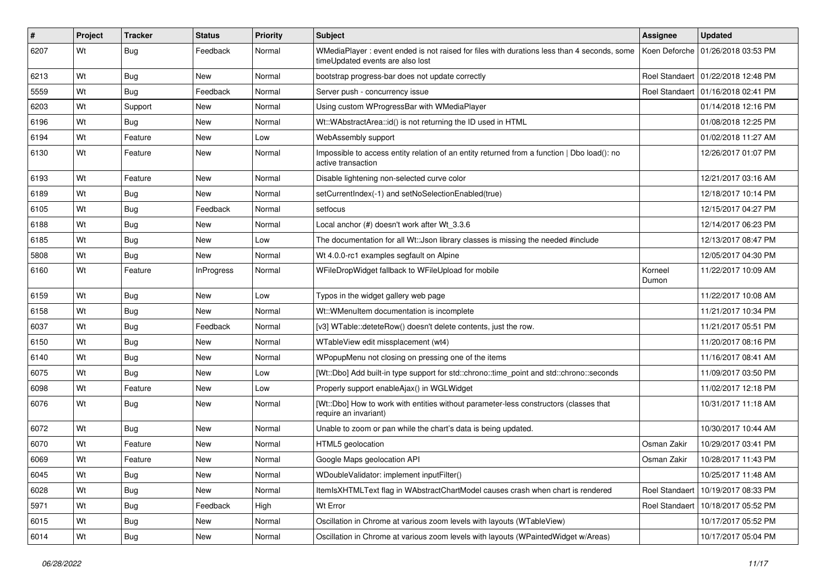| #    | Project | <b>Tracker</b> | <b>Status</b>     | <b>Priority</b> | Subject                                                                                                                        | Assignee         | <b>Updated</b>                       |
|------|---------|----------------|-------------------|-----------------|--------------------------------------------------------------------------------------------------------------------------------|------------------|--------------------------------------|
| 6207 | Wt      | Bug            | Feedback          | Normal          | WMediaPlayer: event ended is not raised for files with durations less than 4 seconds, some<br>timeUpdated events are also lost | Koen Deforche    | 01/26/2018 03:53 PM                  |
| 6213 | Wt      | Bug            | New               | Normal          | bootstrap progress-bar does not update correctly                                                                               |                  | Roel Standaert   01/22/2018 12:48 PM |
| 5559 | Wt      | Bug            | Feedback          | Normal          | Server push - concurrency issue                                                                                                |                  | Roel Standaert 101/16/2018 02:41 PM  |
| 6203 | Wt      | Support        | New               | Normal          | Using custom WProgressBar with WMediaPlayer                                                                                    |                  | 01/14/2018 12:16 PM                  |
| 6196 | Wt      | Bug            | New               | Normal          | Wt::WAbstractArea::id() is not returning the ID used in HTML                                                                   |                  | 01/08/2018 12:25 PM                  |
| 6194 | Wt      | Feature        | New               | Low             | WebAssembly support                                                                                                            |                  | 01/02/2018 11:27 AM                  |
| 6130 | Wt      | Feature        | New               | Normal          | Impossible to access entity relation of an entity returned from a function   Dbo load(): no<br>active transaction              |                  | 12/26/2017 01:07 PM                  |
| 6193 | Wt      | Feature        | New               | Normal          | Disable lightening non-selected curve color                                                                                    |                  | 12/21/2017 03:16 AM                  |
| 6189 | Wt      | Bug            | New               | Normal          | setCurrentIndex(-1) and setNoSelectionEnabled(true)                                                                            |                  | 12/18/2017 10:14 PM                  |
| 6105 | Wt      | Bug            | Feedback          | Normal          | setfocus                                                                                                                       |                  | 12/15/2017 04:27 PM                  |
| 6188 | Wt      | Bug            | New               | Normal          | Local anchor (#) doesn't work after Wt_3.3.6                                                                                   |                  | 12/14/2017 06:23 PM                  |
| 6185 | Wt      | Bug            | New               | Low             | The documentation for all Wt:: Json library classes is missing the needed #include                                             |                  | 12/13/2017 08:47 PM                  |
| 5808 | Wt      | Bug            | New               | Normal          | Wt 4.0.0-rc1 examples segfault on Alpine                                                                                       |                  | 12/05/2017 04:30 PM                  |
| 6160 | Wt      | Feature        | <b>InProgress</b> | Normal          | WFileDropWidget fallback to WFileUpload for mobile                                                                             | Korneel<br>Dumon | 11/22/2017 10:09 AM                  |
| 6159 | Wt      | Bug            | <b>New</b>        | Low             | Typos in the widget gallery web page                                                                                           |                  | 11/22/2017 10:08 AM                  |
| 6158 | Wt      | Bug            | New               | Normal          | Wt::WMenuItem documentation is incomplete                                                                                      |                  | 11/21/2017 10:34 PM                  |
| 6037 | Wt      | Bug            | Feedback          | Normal          | [v3] WTable::deteteRow() doesn't delete contents, just the row.                                                                |                  | 11/21/2017 05:51 PM                  |
| 6150 | Wt      | <b>Bug</b>     | New               | Normal          | WTableView edit missplacement (wt4)                                                                                            |                  | 11/20/2017 08:16 PM                  |
| 6140 | Wt      | Bug            | New               | Normal          | WPopupMenu not closing on pressing one of the items                                                                            |                  | 11/16/2017 08:41 AM                  |
| 6075 | Wt      | Bug            | New               | Low             | [Wt::Dbo] Add built-in type support for std::chrono::time_point and std::chrono::seconds                                       |                  | 11/09/2017 03:50 PM                  |
| 6098 | Wt      | Feature        | New               | Low             | Properly support enableAjax() in WGLWidget                                                                                     |                  | 11/02/2017 12:18 PM                  |
| 6076 | Wt      | <b>Bug</b>     | New               | Normal          | [Wt::Dbo] How to work with entities without parameter-less constructors (classes that<br>require an invariant)                 |                  | 10/31/2017 11:18 AM                  |
| 6072 | Wt      | Bug            | New               | Normal          | Unable to zoom or pan while the chart's data is being updated.                                                                 |                  | 10/30/2017 10:44 AM                  |
| 6070 | Wt      | Feature        | New               | Normal          | HTML5 geolocation                                                                                                              | Osman Zakir      | 10/29/2017 03:41 PM                  |
| 6069 | Wt      | Feature        | New               | Normal          | Google Maps geolocation API                                                                                                    | Osman Zakir      | 10/28/2017 11:43 PM                  |
| 6045 | Wt      | <b>Bug</b>     | New               | Normal          | WDoubleValidator: implement inputFilter()                                                                                      |                  | 10/25/2017 11:48 AM                  |
| 6028 | Wt      | <b>Bug</b>     | New               | Normal          | ItemIsXHTMLText flag in WAbstractChartModel causes crash when chart is rendered                                                | Roel Standaert   | 10/19/2017 08:33 PM                  |
| 5971 | Wt      | <b>Bug</b>     | Feedback          | High            | Wt Error                                                                                                                       | Roel Standaert   | 10/18/2017 05:52 PM                  |
| 6015 | Wt      | <b>Bug</b>     | New               | Normal          | Oscillation in Chrome at various zoom levels with layouts (WTableView)                                                         |                  | 10/17/2017 05:52 PM                  |
| 6014 | Wt      | <b>Bug</b>     | New               | Normal          | Oscillation in Chrome at various zoom levels with layouts (WPaintedWidget w/Areas)                                             |                  | 10/17/2017 05:04 PM                  |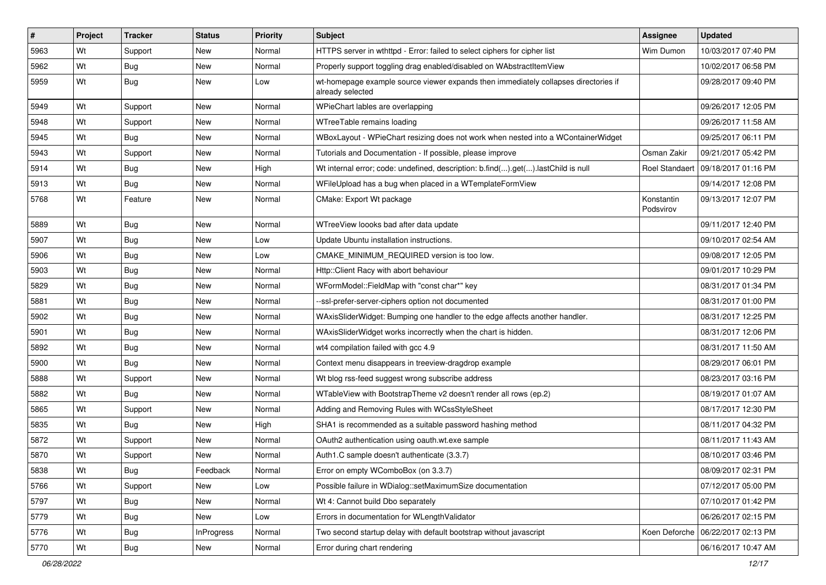| $\vert$ # | Project | <b>Tracker</b> | <b>Status</b>     | Priority | Subject                                                                                                 | <b>Assignee</b>         | <b>Updated</b>                       |
|-----------|---------|----------------|-------------------|----------|---------------------------------------------------------------------------------------------------------|-------------------------|--------------------------------------|
| 5963      | Wt      | Support        | New               | Normal   | HTTPS server in wthttpd - Error: failed to select ciphers for cipher list                               | Wim Dumon               | 10/03/2017 07:40 PM                  |
| 5962      | Wt      | Bug            | New               | Normal   | Properly support toggling drag enabled/disabled on WAbstractItemView                                    |                         | 10/02/2017 06:58 PM                  |
| 5959      | Wt      | <b>Bug</b>     | New               | Low      | wt-homepage example source viewer expands then immediately collapses directories if<br>already selected |                         | 09/28/2017 09:40 PM                  |
| 5949      | Wt      | Support        | <b>New</b>        | Normal   | WPieChart lables are overlapping                                                                        |                         | 09/26/2017 12:05 PM                  |
| 5948      | Wt      | Support        | New               | Normal   | WTreeTable remains loading                                                                              |                         | 09/26/2017 11:58 AM                  |
| 5945      | Wt      | Bug            | New               | Normal   | WBoxLayout - WPieChart resizing does not work when nested into a WContainerWidget                       |                         | 09/25/2017 06:11 PM                  |
| 5943      | Wt      | Support        | <b>New</b>        | Normal   | Tutorials and Documentation - If possible, please improve                                               | Osman Zakir             | 09/21/2017 05:42 PM                  |
| 5914      | Wt      | Bug            | New               | High     | Wt internal error; code: undefined, description: b.find().get().lastChild is null                       |                         | Roel Standaert   09/18/2017 01:16 PM |
| 5913      | Wt      | <b>Bug</b>     | New               | Normal   | WFileUpload has a bug when placed in a WTemplateFormView                                                |                         | 09/14/2017 12:08 PM                  |
| 5768      | Wt      | Feature        | New               | Normal   | CMake: Export Wt package                                                                                | Konstantin<br>Podsvirov | 09/13/2017 12:07 PM                  |
| 5889      | Wt      | Bug            | <b>New</b>        | Normal   | WTreeView loooks bad after data update                                                                  |                         | 09/11/2017 12:40 PM                  |
| 5907      | Wt      | Bug            | New               | Low      | Update Ubuntu installation instructions.                                                                |                         | 09/10/2017 02:54 AM                  |
| 5906      | Wt      | Bug            | New               | Low      | CMAKE MINIMUM REQUIRED version is too low.                                                              |                         | 09/08/2017 12:05 PM                  |
| 5903      | Wt      | <b>Bug</b>     | New               | Normal   | Http::Client Racy with abort behaviour                                                                  |                         | 09/01/2017 10:29 PM                  |
| 5829      | Wt      | Bug            | New               | Normal   | WFormModel::FieldMap with "const char*" key                                                             |                         | 08/31/2017 01:34 PM                  |
| 5881      | Wt      | Bug            | New               | Normal   | --ssl-prefer-server-ciphers option not documented                                                       |                         | 08/31/2017 01:00 PM                  |
| 5902      | Wt      | Bug            | New               | Normal   | WAxisSliderWidget: Bumping one handler to the edge affects another handler.                             |                         | 08/31/2017 12:25 PM                  |
| 5901      | Wt      | Bug            | New               | Normal   | WAxisSliderWidget works incorrectly when the chart is hidden.                                           |                         | 08/31/2017 12:06 PM                  |
| 5892      | Wt      | <b>Bug</b>     | <b>New</b>        | Normal   | wt4 compilation failed with gcc 4.9                                                                     |                         | 08/31/2017 11:50 AM                  |
| 5900      | Wt      | Bug            | New               | Normal   | Context menu disappears in treeview-dragdrop example                                                    |                         | 08/29/2017 06:01 PM                  |
| 5888      | Wt      | Support        | New               | Normal   | Wt blog rss-feed suggest wrong subscribe address                                                        |                         | 08/23/2017 03:16 PM                  |
| 5882      | Wt      | Bug            | New               | Normal   | WTableView with BootstrapTheme v2 doesn't render all rows (ep.2)                                        |                         | 08/19/2017 01:07 AM                  |
| 5865      | Wt      | Support        | New               | Normal   | Adding and Removing Rules with WCssStyleSheet                                                           |                         | 08/17/2017 12:30 PM                  |
| 5835      | Wt      | Bug            | <b>New</b>        | High     | SHA1 is recommended as a suitable password hashing method                                               |                         | 08/11/2017 04:32 PM                  |
| 5872      | Wt      | Support        | New               | Normal   | OAuth2 authentication using oauth.wt.exe sample                                                         |                         | 08/11/2017 11:43 AM                  |
| 5870      | Wt      | Support        | New               | Normal   | Auth1.C sample doesn't authenticate (3.3.7)                                                             |                         | 08/10/2017 03:46 PM                  |
| 5838      | Wt      | <b>Bug</b>     | Feedback          | Normal   | Error on empty WComboBox (on 3.3.7)                                                                     |                         | 08/09/2017 02:31 PM                  |
| 5766      | Wt      | Support        | New               | Low      | Possible failure in WDialog::setMaximumSize documentation                                               |                         | 07/12/2017 05:00 PM                  |
| 5797      | Wt      | <b>Bug</b>     | New               | Normal   | Wt 4: Cannot build Dbo separately                                                                       |                         | 07/10/2017 01:42 PM                  |
| 5779      | Wt      | <b>Bug</b>     | New               | Low      | Errors in documentation for WLengthValidator                                                            |                         | 06/26/2017 02:15 PM                  |
| 5776      | Wt      | <b>Bug</b>     | <b>InProgress</b> | Normal   | Two second startup delay with default bootstrap without javascript                                      |                         | Koen Deforche   06/22/2017 02:13 PM  |
| 5770      | Wt      | <b>Bug</b>     | New               | Normal   | Error during chart rendering                                                                            |                         | 06/16/2017 10:47 AM                  |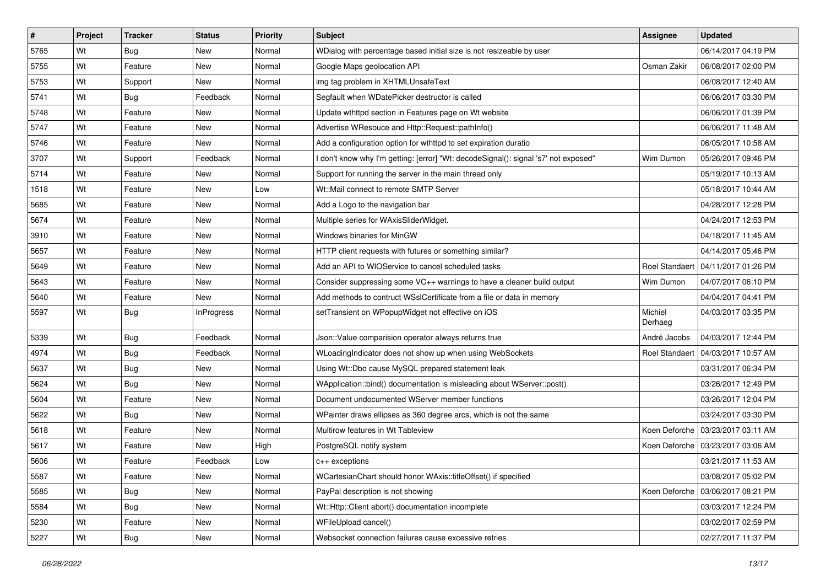| $\sharp$ | Project | <b>Tracker</b> | <b>Status</b>     | <b>Priority</b> | <b>Subject</b>                                                                      | Assignee              | <b>Updated</b>        |
|----------|---------|----------------|-------------------|-----------------|-------------------------------------------------------------------------------------|-----------------------|-----------------------|
| 5765     | Wt      | <b>Bug</b>     | New               | Normal          | WDialog with percentage based initial size is not resizeable by user                |                       | 06/14/2017 04:19 PM   |
| 5755     | Wt      | Feature        | New               | Normal          | Google Maps geolocation API                                                         | Osman Zakir           | 06/08/2017 02:00 PM   |
| 5753     | Wt      | Support        | New               | Normal          | img tag problem in XHTMLUnsafeText                                                  |                       | 06/08/2017 12:40 AM   |
| 5741     | Wt      | <b>Bug</b>     | Feedback          | Normal          | Segfault when WDatePicker destructor is called                                      |                       | 06/06/2017 03:30 PM   |
| 5748     | Wt      | Feature        | New               | Normal          | Update wthttpd section in Features page on Wt website                               |                       | 06/06/2017 01:39 PM   |
| 5747     | Wt      | Feature        | New               | Normal          | Advertise WResouce and Http::Request::pathInfo()                                    |                       | 06/06/2017 11:48 AM   |
| 5746     | Wt      | Feature        | New               | Normal          | Add a configuration option for wthttpd to set expiration duratio                    |                       | 06/05/2017 10:58 AM   |
| 3707     | Wt      | Support        | Feedback          | Normal          | I don't know why I'm getting: [error] "Wt: decodeSignal(): signal 's7' not exposed" | Wim Dumon             | 05/26/2017 09:46 PM   |
| 5714     | Wt      | Feature        | New               | Normal          | Support for running the server in the main thread only                              |                       | 05/19/2017 10:13 AM   |
| 1518     | Wt      | Feature        | New               | Low             | Wt::Mail connect to remote SMTP Server                                              |                       | 05/18/2017 10:44 AM   |
| 5685     | Wt      | Feature        | New               | Normal          | Add a Logo to the navigation bar                                                    |                       | 04/28/2017 12:28 PM   |
| 5674     | Wt      | Feature        | New               | Normal          | Multiple series for WAxisSliderWidget.                                              |                       | 04/24/2017 12:53 PM   |
| 3910     | Wt      | Feature        | New               | Normal          | Windows binaries for MinGW                                                          |                       | 04/18/2017 11:45 AM   |
| 5657     | Wt      | Feature        | New               | Normal          | HTTP client requests with futures or something similar?                             |                       | 04/14/2017 05:46 PM   |
| 5649     | Wt      | Feature        | New               | Normal          | Add an API to WIOService to cancel scheduled tasks                                  | <b>Roel Standaert</b> | l 04/11/2017 01:26 PM |
| 5643     | Wt      | Feature        | New               | Normal          | Consider suppressing some VC++ warnings to have a cleaner build output              | Wim Dumon             | 04/07/2017 06:10 PM   |
| 5640     | Wt      | Feature        | New               | Normal          | Add methods to contruct WSslCertificate from a file or data in memory               |                       | 04/04/2017 04:41 PM   |
| 5597     | Wt      | Bug            | <b>InProgress</b> | Normal          | setTransient on WPopupWidget not effective on iOS                                   | Michiel<br>Derhaeg    | 04/03/2017 03:35 PM   |
| 5339     | Wt      | Bug            | Feedback          | Normal          | Json:: Value comparision operator always returns true                               | André Jacobs          | 04/03/2017 12:44 PM   |
| 4974     | Wt      | <b>Bug</b>     | Feedback          | Normal          | WLoadingIndicator does not show up when using WebSockets                            | <b>Roel Standaert</b> | 04/03/2017 10:57 AM   |
| 5637     | Wt      | Bug            | New               | Normal          | Using Wt::Dbo cause MySQL prepared statement leak                                   |                       | 03/31/2017 06:34 PM   |
| 5624     | Wt      | Bug            | New               | Normal          | WApplication::bind() documentation is misleading about WServer::post()              |                       | 03/26/2017 12:49 PM   |
| 5604     | Wt      | Feature        | New               | Normal          | Document undocumented WServer member functions                                      |                       | 03/26/2017 12:04 PM   |
| 5622     | Wt      | <b>Bug</b>     | New               | Normal          | WPainter draws ellipses as 360 degree arcs, which is not the same                   |                       | 03/24/2017 03:30 PM   |
| 5618     | Wt      | Feature        | New               | Normal          | Multirow features in Wt Tableview                                                   | Koen Deforche         | 03/23/2017 03:11 AM   |
| 5617     | Wt      | Feature        | New               | High            | PostgreSQL notify system                                                            | Koen Deforche         | 03/23/2017 03:06 AM   |
| 5606     | Wt      | Feature        | Feedback          | Low             | $c++$ exceptions                                                                    |                       | 03/21/2017 11:53 AM   |
| 5587     | Wt      | Feature        | New               | Normal          | WCartesianChart should honor WAxis::titleOffset() if specified                      |                       | 03/08/2017 05:02 PM   |
| 5585     | Wt      | <b>Bug</b>     | New               | Normal          | PayPal description is not showing                                                   | Koen Deforche         | 03/06/2017 08:21 PM   |
| 5584     | Wt      | <b>Bug</b>     | New               | Normal          | Wt::Http::Client abort() documentation incomplete                                   |                       | 03/03/2017 12:24 PM   |
| 5230     | Wt      | Feature        | New               | Normal          | WFileUpload cancel()                                                                |                       | 03/02/2017 02:59 PM   |
| 5227     | Wt      | <b>Bug</b>     | New               | Normal          | Websocket connection failures cause excessive retries                               |                       | 02/27/2017 11:37 PM   |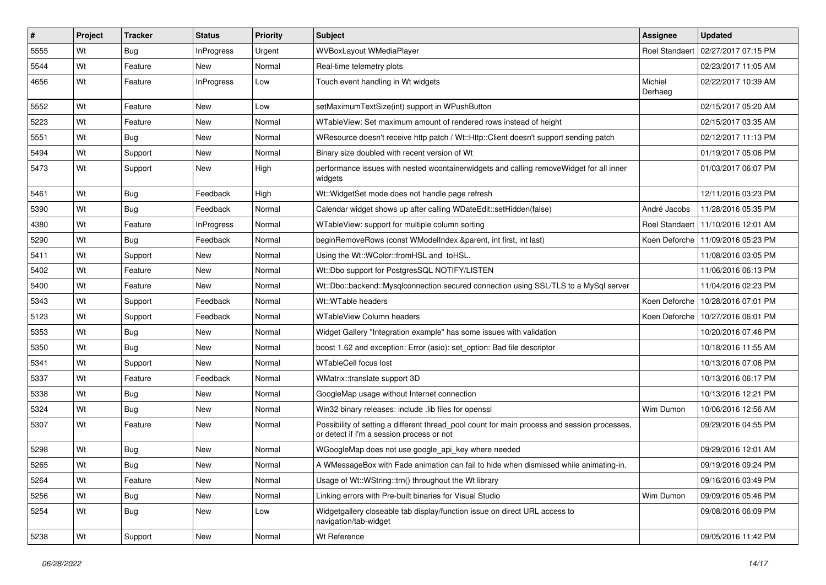| #    | <b>Project</b> | <b>Tracker</b> | <b>Status</b>     | Priority | <b>Subject</b>                                                                                                                            | Assignee              | <b>Updated</b>                      |
|------|----------------|----------------|-------------------|----------|-------------------------------------------------------------------------------------------------------------------------------------------|-----------------------|-------------------------------------|
| 5555 | Wt             | Bug            | <b>InProgress</b> | Urgent   | WVBoxLayout WMediaPlayer                                                                                                                  | <b>Roel Standaert</b> | 02/27/2017 07:15 PM                 |
| 5544 | Wt             | Feature        | <b>New</b>        | Normal   | Real-time telemetry plots                                                                                                                 |                       | 02/23/2017 11:05 AM                 |
| 4656 | Wt             | Feature        | <b>InProgress</b> | Low      | Touch event handling in Wt widgets                                                                                                        | Michiel<br>Derhaeg    | 02/22/2017 10:39 AM                 |
| 5552 | Wt             | Feature        | <b>New</b>        | Low      | setMaximumTextSize(int) support in WPushButton                                                                                            |                       | 02/15/2017 05:20 AM                 |
| 5223 | Wt             | Feature        | New               | Normal   | WTableView: Set maximum amount of rendered rows instead of height                                                                         |                       | 02/15/2017 03:35 AM                 |
| 5551 | Wt             | Bug            | <b>New</b>        | Normal   | WResource doesn't receive http patch / Wt::Http::Client doesn't support sending patch                                                     |                       | 02/12/2017 11:13 PM                 |
| 5494 | Wt             | Support        | New               | Normal   | Binary size doubled with recent version of Wt                                                                                             |                       | 01/19/2017 05:06 PM                 |
| 5473 | Wt             | Support        | New               | High     | performance issues with nested wcontainerwidgets and calling removeWidget for all inner<br>widgets                                        |                       | 01/03/2017 06:07 PM                 |
| 5461 | Wt             | Bug            | Feedback          | High     | Wt:: WidgetSet mode does not handle page refresh                                                                                          |                       | 12/11/2016 03:23 PM                 |
| 5390 | Wt             | Bug            | Feedback          | Normal   | Calendar widget shows up after calling WDateEdit::setHidden(false)                                                                        | André Jacobs          | 11/28/2016 05:35 PM                 |
| 4380 | Wt             | Feature        | <b>InProgress</b> | Normal   | WTableView: support for multiple column sorting                                                                                           | <b>Roel Standaert</b> | 11/10/2016 12:01 AM                 |
| 5290 | Wt             | Bug            | Feedback          | Normal   | beginRemoveRows (const WModelIndex &parent, int first, int last)                                                                          |                       | Koen Deforche   11/09/2016 05:23 PM |
| 5411 | Wt             | Support        | <b>New</b>        | Normal   | Using the Wt::WColor::fromHSL and toHSL.                                                                                                  |                       | 11/08/2016 03:05 PM                 |
| 5402 | Wt             | Feature        | New               | Normal   | Wt::Dbo support for PostgresSQL NOTIFY/LISTEN                                                                                             |                       | 11/06/2016 06:13 PM                 |
| 5400 | Wt             | Feature        | New               | Normal   | Wt::Dbo::backend::Mysqlconnection secured connection using SSL/TLS to a MySql server                                                      |                       | 11/04/2016 02:23 PM                 |
| 5343 | Wt             | Support        | Feedback          | Normal   | Wt::WTable headers                                                                                                                        | Koen Deforche         | 10/28/2016 07:01 PM                 |
| 5123 | Wt             | Support        | Feedback          | Normal   | <b>WTableView Column headers</b>                                                                                                          | Koen Deforche         | 10/27/2016 06:01 PM                 |
| 5353 | Wt             | Bug            | <b>New</b>        | Normal   | Widget Gallery "Integration example" has some issues with validation                                                                      |                       | 10/20/2016 07:46 PM                 |
| 5350 | Wt             | Bug            | New               | Normal   | boost 1.62 and exception: Error (asio): set option: Bad file descriptor                                                                   |                       | 10/18/2016 11:55 AM                 |
| 5341 | Wt             | Support        | New               | Normal   | <b>WTableCell focus lost</b>                                                                                                              |                       | 10/13/2016 07:06 PM                 |
| 5337 | Wt             | Feature        | Feedback          | Normal   | WMatrix::translate support 3D                                                                                                             |                       | 10/13/2016 06:17 PM                 |
| 5338 | Wt             | <b>Bug</b>     | New               | Normal   | GoogleMap usage without Internet connection                                                                                               |                       | 10/13/2016 12:21 PM                 |
| 5324 | Wt             | Bug            | New               | Normal   | Win32 binary releases: include .lib files for openssl                                                                                     | Wim Dumon             | 10/06/2016 12:56 AM                 |
| 5307 | Wt             | Feature        | New               | Normal   | Possibility of setting a different thread_pool count for main process and session processes,<br>or detect if I'm a session process or not |                       | 09/29/2016 04:55 PM                 |
| 5298 | Wt             | Bug            | <b>New</b>        | Normal   | WGoogleMap does not use google_api_key where needed                                                                                       |                       | 09/29/2016 12:01 AM                 |
| 5265 | Wt             | Bug            | New               | Normal   | A WMessageBox with Fade animation can fail to hide when dismissed while animating-in.                                                     |                       | 09/19/2016 09:24 PM                 |
| 5264 | Wt             | Feature        | New               | Normal   | Usage of Wt::WString::trn() throughout the Wt library                                                                                     |                       | 09/16/2016 03:49 PM                 |
| 5256 | Wt             | <b>Bug</b>     | New               | Normal   | Linking errors with Pre-built binaries for Visual Studio                                                                                  | Wim Dumon             | 09/09/2016 05:46 PM                 |
| 5254 | Wt             | <b>Bug</b>     | New               | Low      | Widgetgallery closeable tab display/function issue on direct URL access to<br>navigation/tab-widget                                       |                       | 09/08/2016 06:09 PM                 |
| 5238 | Wt             | Support        | New               | Normal   | Wt Reference                                                                                                                              |                       | 09/05/2016 11:42 PM                 |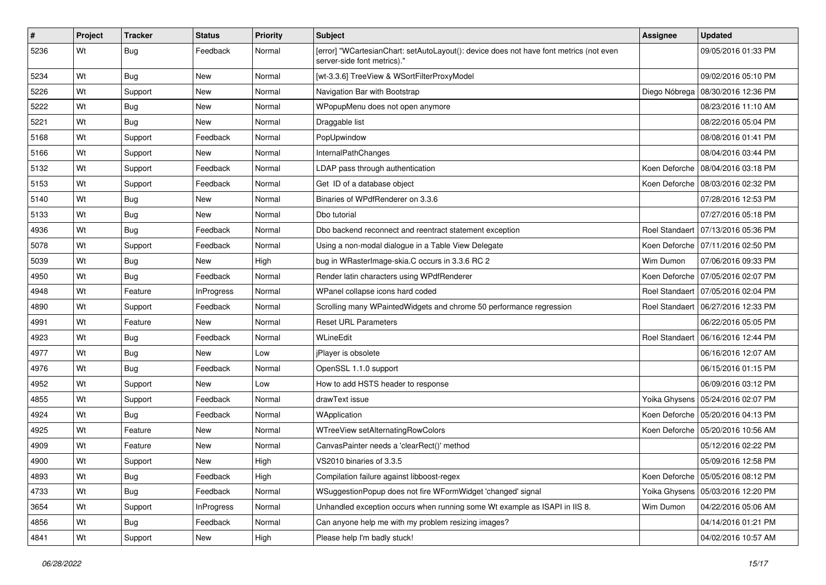| #    | Project | <b>Tracker</b> | <b>Status</b>     | <b>Priority</b> | Subject                                                                                                               | <b>Assignee</b>       | <b>Updated</b>                       |
|------|---------|----------------|-------------------|-----------------|-----------------------------------------------------------------------------------------------------------------------|-----------------------|--------------------------------------|
| 5236 | Wt      | <b>Bug</b>     | Feedback          | Normal          | [error] "WCartesianChart: setAutoLayout(): device does not have font metrics (not even<br>server-side font metrics)." |                       | 09/05/2016 01:33 PM                  |
| 5234 | Wt      | Bug            | New               | Normal          | [wt-3.3.6] TreeView & WSortFilterProxyModel                                                                           |                       | 09/02/2016 05:10 PM                  |
| 5226 | Wt      | Support        | <b>New</b>        | Normal          | Navigation Bar with Bootstrap                                                                                         |                       | Diego Nóbrega   08/30/2016 12:36 PM  |
| 5222 | Wt      | <b>Bug</b>     | New               | Normal          | WPopupMenu does not open anymore                                                                                      |                       | 08/23/2016 11:10 AM                  |
| 5221 | Wt      | Bug            | New               | Normal          | Draggable list                                                                                                        |                       | 08/22/2016 05:04 PM                  |
| 5168 | Wt      | Support        | Feedback          | Normal          | PopUpwindow                                                                                                           |                       | 08/08/2016 01:41 PM                  |
| 5166 | Wt      | Support        | New               | Normal          | InternalPathChanges                                                                                                   |                       | 08/04/2016 03:44 PM                  |
| 5132 | Wt      | Support        | Feedback          | Normal          | LDAP pass through authentication                                                                                      |                       | Koen Deforche   08/04/2016 03:18 PM  |
| 5153 | Wt      | Support        | Feedback          | Normal          | Get ID of a database object                                                                                           |                       | Koen Deforche   08/03/2016 02:32 PM  |
| 5140 | Wt      | Bug            | New               | Normal          | Binaries of WPdfRenderer on 3.3.6                                                                                     |                       | 07/28/2016 12:53 PM                  |
| 5133 | Wt      | <b>Bug</b>     | New               | Normal          | Dbo tutorial                                                                                                          |                       | 07/27/2016 05:18 PM                  |
| 4936 | Wt      | <b>Bug</b>     | Feedback          | Normal          | Dbo backend reconnect and reentract statement exception                                                               | <b>Roel Standaert</b> | 07/13/2016 05:36 PM                  |
| 5078 | Wt      | Support        | Feedback          | Normal          | Using a non-modal dialogue in a Table View Delegate                                                                   |                       | Koen Deforche   07/11/2016 02:50 PM  |
| 5039 | Wt      | <b>Bug</b>     | <b>New</b>        | High            | bug in WRasterImage-skia.C occurs in 3.3.6 RC 2                                                                       | Wim Dumon             | 07/06/2016 09:33 PM                  |
| 4950 | Wt      | Bug            | Feedback          | Normal          | Render latin characters using WPdfRenderer                                                                            |                       | Koen Deforche 07/05/2016 02:07 PM    |
| 4948 | Wt      | Feature        | <b>InProgress</b> | Normal          | WPanel collapse icons hard coded                                                                                      |                       | Roel Standaert   07/05/2016 02:04 PM |
| 4890 | Wt      | Support        | Feedback          | Normal          | Scrolling many WPaintedWidgets and chrome 50 performance regression                                                   |                       | Roel Standaert   06/27/2016 12:33 PM |
| 4991 | Wt      | Feature        | New               | Normal          | <b>Reset URL Parameters</b>                                                                                           |                       | 06/22/2016 05:05 PM                  |
| 4923 | Wt      | Bug            | Feedback          | Normal          | WLineEdit                                                                                                             |                       | Roel Standaert   06/16/2016 12:44 PM |
| 4977 | Wt      | <b>Bug</b>     | New               | Low             | jPlayer is obsolete                                                                                                   |                       | 06/16/2016 12:07 AM                  |
| 4976 | Wt      | <b>Bug</b>     | Feedback          | Normal          | OpenSSL 1.1.0 support                                                                                                 |                       | 06/15/2016 01:15 PM                  |
| 4952 | Wt      | Support        | New               | Low             | How to add HSTS header to response                                                                                    |                       | 06/09/2016 03:12 PM                  |
| 4855 | Wt      | Support        | Feedback          | Normal          | drawText issue                                                                                                        |                       | Yoika Ghysens   05/24/2016 02:07 PM  |
| 4924 | Wt      | Bug            | Feedback          | Normal          | WApplication                                                                                                          |                       | Koen Deforche   05/20/2016 04:13 PM  |
| 4925 | Wt      | Feature        | <b>New</b>        | Normal          | WTreeView setAlternatingRowColors                                                                                     |                       | Koen Deforche   05/20/2016 10:56 AM  |
| 4909 | Wt      | Feature        | New               | Normal          | CanvasPainter needs a 'clearRect()' method                                                                            |                       | 05/12/2016 02:22 PM                  |
| 4900 | Wt      | Support        | New               | High            | VS2010 binaries of 3.3.5                                                                                              |                       | 05/09/2016 12:58 PM                  |
| 4893 | Wt      | <b>Bug</b>     | Feedback          | High            | Compilation failure against libboost-regex                                                                            |                       | Koen Deforche   05/05/2016 08:12 PM  |
| 4733 | Wt      | <b>Bug</b>     | Feedback          | Normal          | WSuggestionPopup does not fire WFormWidget 'changed' signal                                                           |                       | Yoika Ghysens   05/03/2016 12:20 PM  |
| 3654 | Wt      | Support        | InProgress        | Normal          | Unhandled exception occurs when running some Wt example as ISAPI in IIS 8.                                            | Wim Dumon             | 04/22/2016 05:06 AM                  |
| 4856 | Wt      | <b>Bug</b>     | Feedback          | Normal          | Can anyone help me with my problem resizing images?                                                                   |                       | 04/14/2016 01:21 PM                  |
| 4841 | Wt      | Support        | New               | High            | Please help I'm badly stuck!                                                                                          |                       | 04/02/2016 10:57 AM                  |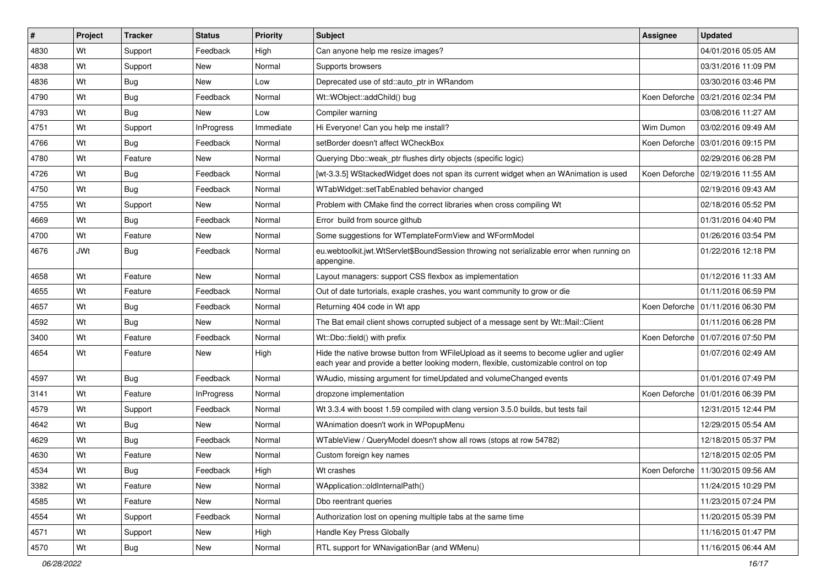| #    | Project    | <b>Tracker</b> | <b>Status</b>     | Priority  | <b>Subject</b>                                                                                                                                                                 | <b>Assignee</b> | <b>Updated</b>                      |
|------|------------|----------------|-------------------|-----------|--------------------------------------------------------------------------------------------------------------------------------------------------------------------------------|-----------------|-------------------------------------|
| 4830 | Wt         | Support        | Feedback          | High      | Can anyone help me resize images?                                                                                                                                              |                 | 04/01/2016 05:05 AM                 |
| 4838 | Wt         | Support        | <b>New</b>        | Normal    | Supports browsers                                                                                                                                                              |                 | 03/31/2016 11:09 PM                 |
| 4836 | Wt         | Bug            | New               | Low       | Deprecated use of std::auto ptr in WRandom                                                                                                                                     |                 | 03/30/2016 03:46 PM                 |
| 4790 | Wt         | Bug            | Feedback          | Normal    | Wt::WObject::addChild() bug                                                                                                                                                    |                 | Koen Deforche 103/21/2016 02:34 PM  |
| 4793 | Wt         | Bug            | <b>New</b>        | Low       | Compiler warning                                                                                                                                                               |                 | 03/08/2016 11:27 AM                 |
| 4751 | Wt         | Support        | <b>InProgress</b> | Immediate | Hi Everyone! Can you help me install?                                                                                                                                          | Wim Dumon       | 03/02/2016 09:49 AM                 |
| 4766 | Wt         | Bug            | Feedback          | Normal    | setBorder doesn't affect WCheckBox                                                                                                                                             |                 | Koen Deforche   03/01/2016 09:15 PM |
| 4780 | Wt         | Feature        | New               | Normal    | Querying Dbo:: weak ptr flushes dirty objects (specific logic)                                                                                                                 |                 | 02/29/2016 06:28 PM                 |
| 4726 | Wt         | <b>Bug</b>     | Feedback          | Normal    | [wt-3.3.5] WStackedWidget does not span its current widget when an WAnimation is used                                                                                          |                 | Koen Deforche   02/19/2016 11:55 AM |
| 4750 | Wt         | Bug            | Feedback          | Normal    | WTabWidget::setTabEnabled behavior changed                                                                                                                                     |                 | 02/19/2016 09:43 AM                 |
| 4755 | Wt         | Support        | <b>New</b>        | Normal    | Problem with CMake find the correct libraries when cross compiling Wt                                                                                                          |                 | 02/18/2016 05:52 PM                 |
| 4669 | Wt         | Bug            | Feedback          | Normal    | Error build from source github                                                                                                                                                 |                 | 01/31/2016 04:40 PM                 |
| 4700 | Wt         | Feature        | <b>New</b>        | Normal    | Some suggestions for WTemplateFormView and WFormModel                                                                                                                          |                 | 01/26/2016 03:54 PM                 |
| 4676 | <b>JWt</b> | Bug            | Feedback          | Normal    | eu.webtoolkit.jwt.WtServlet\$BoundSession throwing not serializable error when running on<br>appengine.                                                                        |                 | 01/22/2016 12:18 PM                 |
| 4658 | Wt         | Feature        | New               | Normal    | Layout managers: support CSS flexbox as implementation                                                                                                                         |                 | 01/12/2016 11:33 AM                 |
| 4655 | Wt         | Feature        | Feedback          | Normal    | Out of date turtorials, exaple crashes, you want community to grow or die                                                                                                      |                 | 01/11/2016 06:59 PM                 |
| 4657 | Wt         | Bug            | Feedback          | Normal    | Returning 404 code in Wt app                                                                                                                                                   |                 | Koen Deforche   01/11/2016 06:30 PM |
| 4592 | Wt         | <b>Bug</b>     | <b>New</b>        | Normal    | The Bat email client shows corrupted subject of a message sent by Wt::Mail::Client                                                                                             |                 | 01/11/2016 06:28 PM                 |
| 3400 | Wt         | Feature        | Feedback          | Normal    | Wt::Dbo::field() with prefix                                                                                                                                                   |                 | Koen Deforche   01/07/2016 07:50 PM |
| 4654 | Wt         | Feature        | <b>New</b>        | High      | Hide the native browse button from WFileUpload as it seems to become uglier and uglier<br>each year and provide a better looking modern, flexible, customizable control on top |                 | 01/07/2016 02:49 AM                 |
| 4597 | Wt         | Bug            | Feedback          | Normal    | WAudio, missing argument for timeUpdated and volumeChanged events                                                                                                              |                 | 01/01/2016 07:49 PM                 |
| 3141 | Wt         | Feature        | <b>InProgress</b> | Normal    | dropzone implementation                                                                                                                                                        |                 | Koen Deforche   01/01/2016 06:39 PM |
| 4579 | Wt         | Support        | Feedback          | Normal    | Wt 3.3.4 with boost 1.59 compiled with clang version 3.5.0 builds, but tests fail                                                                                              |                 | 12/31/2015 12:44 PM                 |
| 4642 | Wt         | Bug            | New               | Normal    | WAnimation doesn't work in WPopupMenu                                                                                                                                          |                 | 12/29/2015 05:54 AM                 |
| 4629 | Wt         | <b>Bug</b>     | Feedback          | Normal    | WTableView / QueryModel doesn't show all rows (stops at row 54782)                                                                                                             |                 | 12/18/2015 05:37 PM                 |
| 4630 | Wt         | Feature        | <b>New</b>        | Normal    | Custom foreign key names                                                                                                                                                       |                 | 12/18/2015 02:05 PM                 |
| 4534 | Wt         | <b>Bug</b>     | Feedback          | High      | Wt crashes                                                                                                                                                                     |                 | Koen Deforche   11/30/2015 09:56 AM |
| 3382 | Wt         | Feature        | New               | Normal    | WApplication::oldInternalPath()                                                                                                                                                |                 | 11/24/2015 10:29 PM                 |
| 4585 | Wt         | Feature        | New               | Normal    | Dbo reentrant queries                                                                                                                                                          |                 | 11/23/2015 07:24 PM                 |
| 4554 | Wt         | Support        | Feedback          | Normal    | Authorization lost on opening multiple tabs at the same time                                                                                                                   |                 | 11/20/2015 05:39 PM                 |
| 4571 | Wt         | Support        | New               | High      | Handle Key Press Globally                                                                                                                                                      |                 | 11/16/2015 01:47 PM                 |
| 4570 | Wt         | <b>Bug</b>     | New               | Normal    | RTL support for WNavigationBar (and WMenu)                                                                                                                                     |                 | 11/16/2015 06:44 AM                 |